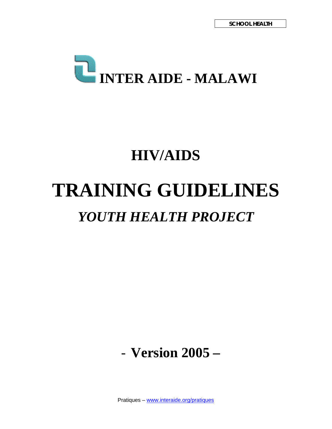

# **HIV/AIDS TRAINING GUIDELINES**  *YOUTH HEALTH PROJECT*

- **Version 2005 –** 

Pratiques – www.interaide.org/pratiques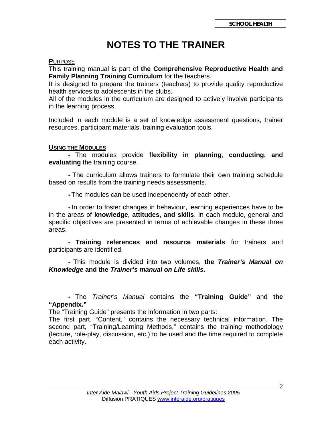## **NOTES TO THE TRAINER**

#### **P**URPOSE

This training manual is part of **the Comprehensive Reproductive Health and Family Planning Training Curriculum** for the teachers.

It is designed to prepare the trainers (teachers) to provide quality reproductive health services to adolescents in the clubs.

All of the modules in the curriculum are designed to actively involve participants in the learning process.

Included in each module is a set of knowledge assessment questions, trainer resources, participant materials, training evaluation tools.

#### **USING THE MODULES**

 • The modules provide **flexibility in planning**, **conducting, and evaluating** the training course.

 • The curriculum allows trainers to formulate their own training schedule based on results from the training needs assessments.

• The modules can be used independently of each other.

 • In order to foster changes in behaviour, learning experiences have to be in the areas of **knowledge, attitudes, and skills**. In each module, general and specific objectives are presented in terms of achievable changes in these three areas.

 • **Training references and resource materials** for trainers and participants are identified.

 • This module is divided into two volumes, **the** *Trainer's Manual on Knowledge* **and the** *Trainer's manual on Life skills.* 

 • The *Trainer's Manual* contains the **"Training Guide"** and **the "Appendix."**

The "Training Guide" presents the information in two parts:

The first part, "Content," contains the necessary technical information. The second part, "Training/Learning Methods," contains the training methodology (lecture, role-play, discussion, etc.) to be used and the time required to complete each activity.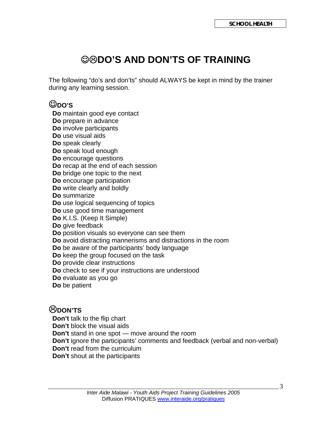## ☺/**DO'S AND DON'TS OF TRAINING**

The following "do's and don'ts" should ALWAYS be kept in mind by the trainer during any learning session.

## ☺**DO'S**

 **Do** maintain good eye contact **Do** prepare in advance **Do** involve participants **Do** use visual aids **Do** speak clearly **Do** speak loud enough **Do** encourage questions **Do** recap at the end of each session **Do** bridge one topic to the next **Do** encourage participation **Do** write clearly and boldly **Do** summarize **Do** use logical sequencing of topics **Do** use good time management **Do** K.I.S. (Keep It Simple) **Do** give feedback **Do** position visuals so everyone can see them **Do** avoid distracting mannerisms and distractions in the room **Do** be aware of the participants' body language **Do** keep the group focused on the task **Do** provide clear instructions **Do** check to see if your instructions are understood **Do** evaluate as you go **Do** be patient

## /**DON'TS**

 **Don't** talk to the flip chart **Don't** block the visual aids **Don't** stand in one spot — move around the room **Don't** ignore the participants' comments and feedback (verbal and non-verbal) **Don't** read from the curriculum **Don't** shout at the participants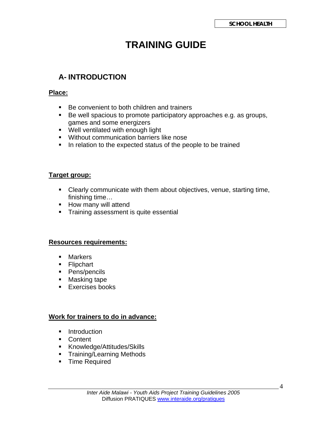## **TRAINING GUIDE**

## **A- INTRODUCTION**

#### **Place:**

- Be convenient to both children and trainers
- Be well spacious to promote participatory approaches e.g. as groups, games and some energizers
- Well ventilated with enough light
- **Without communication barriers like nose**
- In relation to the expected status of the people to be trained

#### **Target group:**

- Clearly communicate with them about objectives, venue, starting time, finishing time…
- **How many will attend**
- **Training assessment is quite essential**

#### **Resources requirements:**

- **Markers**
- **Flipchart**
- Pens/pencils
- **Masking tape**
- **Exercises books**

#### **Work for trainers to do in advance:**

- **Introduction**
- **Content**
- Knowledge/Attitudes/Skills
- **Training/Learning Methods**
- **Time Required**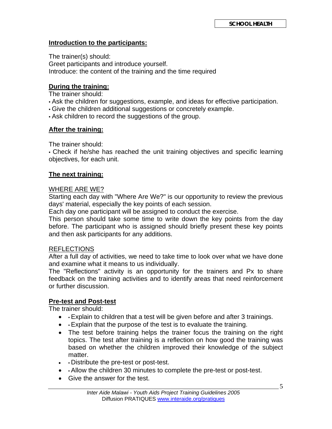#### **Introduction to the participants:**

The trainer(s) should: Greet participants and introduce yourself. Introduce: the content of the training and the time required

#### **During the training:**

The trainer should:

- Ask the children for suggestions, example, and ideas for effective participation.
- Give the children additional suggestions or concretely example.

• Ask children to record the suggestions of the group.

#### **After the training:**

The trainer should:

• Check if he/she has reached the unit training objectives and specific learning objectives, for each unit.

#### **The next training:**

#### WHERE ARE WE?

Starting each day with "Where Are We?" is our opportunity to review the previous days' material, especially the key points of each session.

Each day one participant will be assigned to conduct the exercise.

This person should take some time to write down the key points from the day before. The participant who is assigned should briefly present these key points and then ask participants for any additions.

#### REFLECTIONS

After a full day of activities, we need to take time to look over what we have done and examine what it means to us individually.

The "Reflections" activity is an opportunity for the trainers and Px to share feedback on the training activities and to identify areas that need reinforcement or further discussion.

#### **Pre-test and Post-test**

The trainer should:

- • Explain to children that a test will be given before and after 3 trainings.
- • Explain that the purpose of the test is to evaluate the training.
- The test before training helps the trainer focus the training on the right topics. The test after training is a reflection on how good the training was based on whether the children improved their knowledge of the subject matter.
- • Distribute the pre-test or post-test.
- • Allow the children 30 minutes to complete the pre-test or post-test.
- Give the answer for the test.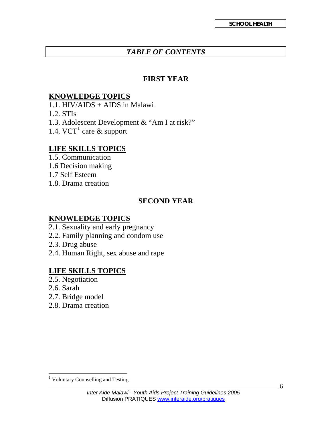## *TABLE OF CONTENTS*

#### **FIRST YEAR**

#### **KNOWLEDGE TOPICS**

1.1. HIV/AIDS + AIDS in Malawi

- 1.2. STIs
- 1.3. Adolescent Development & "Am I at risk?"
- [1](#page-5-0).4. VCT<sup>1</sup> care  $\&$  support

## **LIFE SKILLS TOPICS**

- 1.5. Communication
- 1.6 Decision making
- 1.7 Self Esteem
- 1.8. Drama creation

## **SECOND YEAR**

### **KNOWLEDGE TOPICS**

- 2.1. Sexuality and early pregnancy
- 2.2. Family planning and condom use
- 2.3. Drug abuse
- 2.4. Human Right, sex abuse and rape

### **LIFE SKILLS TOPICS**

- 2.5. Negotiation
- 2.6. Sarah
- 2.7. Bridge model
- 2.8. Drama creation

<span id="page-5-0"></span> 1 Voluntary Counselling and Testing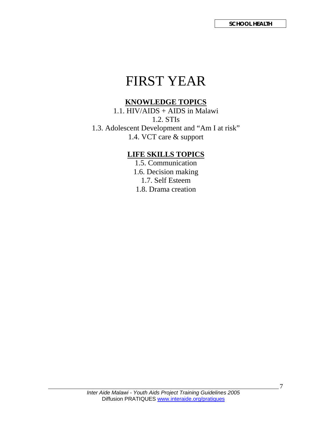## FIRST YEAR

## **KNOWLEDGE TOPICS**

1.1. HIV/AIDS + AIDS in Malawi 1.2. STIs 1.3. Adolescent Development and "Am I at risk" 1.4. VCT care & support

#### **LIFE SKILLS TOPICS**

1.5. Communication 1.6. Decision making 1.7. Self Esteem 1.8. Drama creation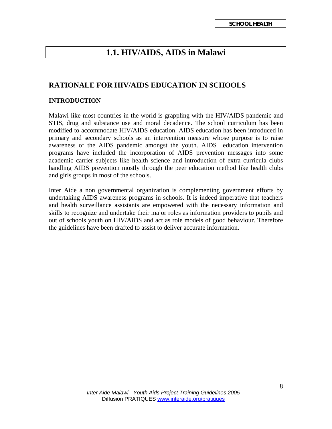## **1.1. HIV/AIDS, AIDS in Malawi**

#### **RATIONALE FOR HIV/AIDS EDUCATION IN SCHOOLS**

#### **INTRODUCTION**

Malawi like most countries in the world is grappling with the HIV/AIDS pandemic and STIS, drug and substance use and moral decadence. The school curriculum has been modified to accommodate HIV/AIDS education. AIDS education has been introduced in primary and secondary schools as an intervention measure whose purpose is to raise awareness of the AIDS pandemic amongst the youth. AIDS education intervention programs have included the incorporation of AIDS prevention messages into some academic carrier subjects like health science and introduction of extra curricula clubs handling AIDS prevention mostly through the peer education method like health clubs and girls groups in most of the schools.

Inter Aide a non governmental organization is complementing government efforts by undertaking AIDS awareness programs in schools. It is indeed imperative that teachers and health surveillance assistants are empowered with the necessary information and skills to recognize and undertake their major roles as information providers to pupils and out of schools youth on HIV/AIDS and act as role models of good behaviour. Therefore the guidelines have been drafted to assist to deliver accurate information.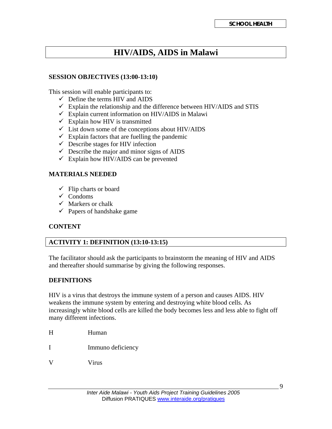## **HIV/AIDS, AIDS in Malawi**

#### **SESSION OBJECTIVES (13:00-13:10)**

This session will enable participants to:

- $\checkmark$  Define the terms HIV and AIDS
- $\checkmark$  Explain the relationship and the difference between HIV/AIDS and STIS
- $\checkmark$  Explain current information on HIV/AIDS in Malawi
- $\checkmark$  Explain how HIV is transmitted
- $\checkmark$  List down some of the conceptions about HIV/AIDS
- $\checkmark$  Explain factors that are fuelling the pandemic
- $\checkmark$  Describe stages for HIV infection
- $\checkmark$  Describe the major and minor signs of AIDS
- $\checkmark$  Explain how HIV/AIDS can be prevented

#### **MATERIALS NEEDED**

- $\checkmark$  Flip charts or board
- $\checkmark$  Condoms
- $\checkmark$  Markers or chalk
- $\checkmark$  Papers of handshake game

#### **CONTENT**

#### **ACTIVITY 1: DEFINITION (13:10-13:15)**

The facilitator should ask the participants to brainstorm the meaning of HIV and AIDS and thereafter should summarise by giving the following responses.

#### **DEFINITIONS**

HIV is a virus that destroys the immune system of a person and causes AIDS. HIV weakens the immune system by entering and destroying white blood cells. As increasingly white blood cells are killed the body becomes less and less able to fight off many different infections.

- H Human
- I Immuno deficiency
- V Virus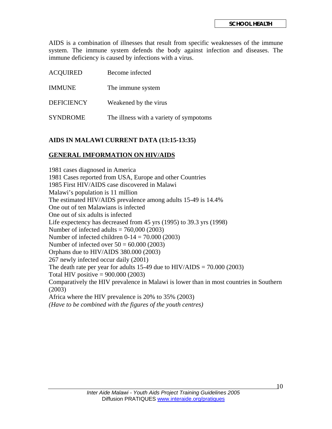AIDS is a combination of illnesses that result from specific weaknesses of the immune system. The immune system defends the body against infection and diseases. The immune deficiency is caused by infections with a virus.

| <b>ACQUIRED</b>   | Become infected                         |
|-------------------|-----------------------------------------|
| <b>IMMUNE</b>     | The immune system                       |
| <b>DEFICIENCY</b> | Weakened by the virus                   |
| <b>SYNDROME</b>   | The illness with a variety of sympotoms |

#### **AIDS IN MALAWI CURRENT DATA (13:15-13:35)**

#### **GENERAL IMFORMATION ON HIV/AIDS**

1981 cases diagnosed in America 1981 Cases reported from USA, Europe and other Countries 1985 First HIV/AIDS case discovered in Malawi Malawi's population is 11 million The estimated HIV/AIDS prevalence among adults 15-49 is 14.4% One out of ten Malawians is infected One out of six adults is infected Life expectency has decreased from 45 yrs (1995) to 39.3 yrs (1998) Number of infected adults  $= 760,000 (2003)$ Number of infected children  $0-14 = 70.000(2003)$ Number of infected over  $50 = 60.000$  (2003) Orphans due to HIV/AIDS 380.000 (2003) 267 newly infected occur daily (2001) The death rate per year for adults 15-49 due to  $HIV/ALDS = 70.000 (2003)$ Total HIV positive  $= 900.000(2003)$ Comparatively the HIV prevalence in Malawi is lower than in most countries in Southern (2003) Africa where the HIV prevalence is 20% to 35% (2003) *(Have to be combined with the figures of the youth centres)*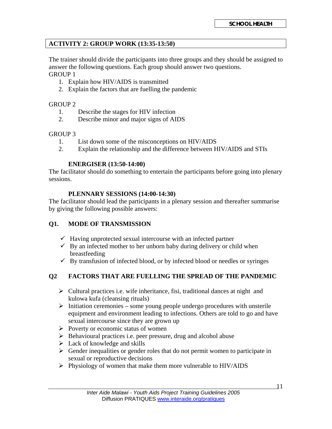#### **ACTIVITY 2: GROUP WORK (13:35-13:50)**

The trainer should divide the participants into three groups and they should be assigned to answer the following questions. Each group should answer two questions. GROUP 1

- 1. Explain how HIV/AIDS is transmitted
- 2. Explain the factors that are fuelling the pandemic

#### GROUP 2

- 1. Describe the stages for HIV infection
- 2. Describe minor and major signs of AIDS

#### GROUP 3

- 1. List down some of the misconceptions on HIV/AIDS
- 2. Explain the relationship and the difference between HIV/AIDS and STIs

#### **ENERGISER (13:50-14:00)**

The facilitator should do something to entertain the participants before going into plenary sessions.

#### **PLENNARY SESSIONS (14:00-14:30)**

The facilitator should lead the participants in a plenary session and thereafter summarise by giving the following possible answers:

#### **Q1. MODE OF TRANSMISSION**

- $\checkmark$  Having unprotected sexual intercourse with an infected partner
- $\checkmark$  By an infected mother to her unborn baby during delivery or child when breastfeeding
- $\checkmark$  By transfusion of infected blood, or by infected blood or needles or syringes

#### **Q2 FACTORS THAT ARE FUELLING THE SPREAD OF THE PANDEMIC**

- $\triangleright$  Cultural practices i.e. wife inheritance, fisi, traditional dances at night and kulowa kufa (cleansing rituals)
- $\triangleright$  Initiation ceremonies some young people undergo procedures with unsterile equipment and environment leading to infections. Others are told to go and have sexual intercourse since they are grown up
- $\triangleright$  Poverty or economic status of women
- $\triangleright$  Behavioural practices i.e. peer pressure, drug and alcohol abuse
- $\triangleright$  Lack of knowledge and skills
- $\triangleright$  Gender inequalities or gender roles that do not permit women to participate in sexual or reproductive decisions
- $\triangleright$  Physiology of women that make them more vulnerable to HIV/AIDS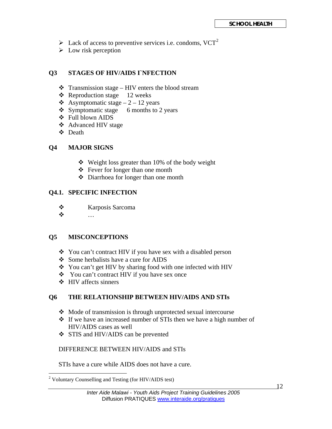- $\triangleright$  Lack of access to preventive services i.e. condoms, VCT<sup>[2](#page-11-0)</sup>
- $\triangleright$  Low risk perception

#### **Q3 STAGES OF HIV/AIDS I`NFECTION**

- $\triangle$  Transmission stage HIV enters the blood stream
- $\triangleleft$  Reproduction stage 12 weeks
- $\triangle$  Asymptomatic stage 2 12 years
- $\div$  Symptomatic stage 6 months to 2 years
- Full blown AIDS
- Advanced HIV stage
- Death

#### **Q4 MAJOR SIGNS**

- Weight loss greater than 10% of the body weight
- Fever for longer than one month
- Diarrhoea for longer than one month

#### **Q4.1. SPECIFIC INFECTION**

- Karposis Sarcoma
- …

#### **Q5 MISCONCEPTIONS**

- You can't contract HIV if you have sex with a disabled person
- Some herbalists have a cure for AIDS
- You can't get HIV by sharing food with one infected with HIV
- \* You can't contract HIV if you have sex once
- ❖ HIV affects sinners

#### **Q6 THE RELATIONSHIP BETWEEN HIV/AIDS AND STIs**

- Mode of transmission is through unprotected sexual intercourse
- $\cdot \cdot$  If we have an increased number of STIs then we have a high number of HIV/AIDS cases as well
- STIS and HIV/AIDS can be prevented

#### DIFFERENCE BETWEEN HIV/AIDS and STIs

STIs have a cure while AIDS does not have a cure.

<span id="page-11-0"></span> 2 Voluntary Counselling and Testing (for HIV/AIDS test)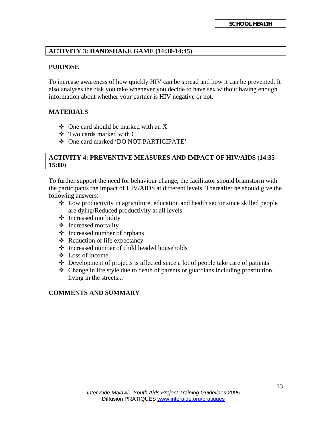#### **ACTIVITY 3: HANDSHAKE GAME (14:30-14:45)**

#### **PURPOSE**

To increase awareness of how quickly HIV can be spread and how it can be prevented. It also analyses the risk you take whenever you decide to have sex without having enough information about whether your partner is HIV negative or not.

#### **MATERIALS**

- $\triangle$  One card should be marked with an X
- Two cards marked with C
- One card marked 'DO NOT PARTICIPATE'

#### **ACTIVITY 4: PREVENTIVE MEASURES AND IMPACT OF HIV/AIDS (14:35- 15:00)**

To further support the need for behaviour change, the facilitator should brainstorm with the participants the impact of HIV/AIDS at different levels. Thereafter he should give the following answers:

- $\triangleleft$  Low productivity in agriculture, education and health sector since skilled people are dying/Reduced productivity at all levels
- Increased morbidity
- ❖ Increased mortality
- Increased number of orphans
- Reduction of life expectancy
- $\triangle$  Increased number of child headed households
- Loss of income
- Development of projects is affected since a lot of people take care of patients
- Change in life style due to death of parents or guardians including prostitution, living in the streets...

#### **COMMENTS AND SUMMARY**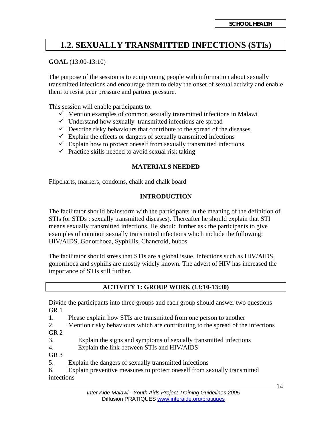## **1.2. SEXUALLY TRANSMITTED INFECTIONS (STIs)**

#### **GOAL** (13:00-13:10)

The purpose of the session is to equip young people with information about sexually transmitted infections and encourage them to delay the onset of sexual activity and enable them to resist peer pressure and partner pressure.

This session will enable participants to:

- $\checkmark$  Mention examples of common sexually transmitted infections in Malawi
- $\checkmark$  Understand how sexually transmitted infections are spread
- $\checkmark$  Describe risky behaviours that contribute to the spread of the diseases
- $\checkmark$  Explain the effects or dangers of sexually transmitted infections
- $\checkmark$  Explain how to protect oneself from sexually transmitted infections
- $\checkmark$  Practice skills needed to avoid sexual risk taking

#### **MATERIALS NEEDED**

Flipcharts, markers, condoms, chalk and chalk board

#### **INTRODUCTION**

The facilitator should brainstorm with the participants in the meaning of the definition of STIs (or STDs : sexually transmitted diseases). Thereafter he should explain that STI means sexually transmitted infections. He should further ask the participants to give examples of common sexually transmitted infections which include the following: HIV/AIDS, Gonorrhoea, Syphillis, Chancroid, bubos

The facilitator should stress that STIs are a global issue. Infections such as HIV/AIDS, gonorrhoea and syphilis are mostly widely known. The advert of HIV has increased the importance of STIs still further.

#### **ACTIVITY 1: GROUP WORK (13:10-13:30)**

Divide the participants into three groups and each group should answer two questions GR 1

1. Please explain how STIs are transmitted from one person to another

2. Mention risky behaviours which are contributing to the spread of the infections GR 2

- 3. Explain the signs and symptoms of sexually transmitted infections
- 4. Explain the link between STIs and HIV/AIDS

GR<sub>3</sub>

5. Explain the dangers of sexually transmitted infections

6. Explain preventive measures to protect oneself from sexually transmitted infections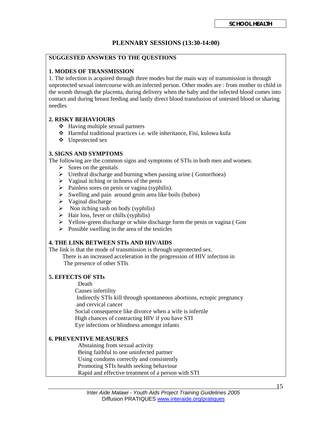#### **PLENNARY SESSIONS (13:30-14:00)**

#### **SUGGESTED ANSWERS TO THE QUESTIONS**

#### **1. MODES OF TRANSMISSION**

1. The infection is acquired through three modes but the main way of transmission is through unprotected sexual intercourse with an infected person. Other modes are : from mother to child in the womb through the placenta, during delivery when the baby and the infected blood comes into contact and during breast feeding and lastly direct blood transfusion of untested blood or sharing needles

#### **2. RISKY BEHAVIOURS**

- $\triangleleft$  Having multiple sexual partners
- Harmful traditional practices i.e. wife inheritance, Fisi, kulowa kufa
- Unprotected sex

#### **3. SIGNS AND SYMPTOMS**

The following are the common signs and symptoms of STIs in both men and women.

- $\triangleright$  Sores on the genitals
- $\triangleright$  Urethral discharge and burning when passing urine (Gonorrhoea)
- $\triangleright$  Vaginal itching or itchness of the penis
- $\triangleright$  Painless sores on penis or vagina (syphilis).
- $\triangleright$  Swelling and pain around groin area like boils (bubos)
- $\triangleright$  Vaginal discharge
- $\triangleright$  Non itching rash on body (syphilis)
- $\triangleright$  Hair loss, fever or chills (syphilis)
- $\triangleright$  Yellow-green discharge or white discharge form the penis or vagina (Gon
- $\triangleright$  Possible swelling in the area of the testicles

#### **4. THE LINK BETWEEN STIs AND HIV/AIDS**

The link is that the mode of transmission is through unprotected sex.

 There is an increased acceleration in the progression of HIV infection in The presence of other STIs

#### **5. EFFECTS OF STIs**

Death

- Causes infertility
- Indirectly STIs kill through spontaneous abortions, ectopic pregnancy and cervical cancer

Social consequence like divorce when a wife is infertile

- High chances of contracting HIV if you have STI
- Eye infections or blindness amongst infants

#### **6. PREVENTIVE MEASURES**

Abstaining from sexual activity Being faithful to one uninfected partner Using condoms correctly and consistently Promoting STIs health seeking behaviour

Rapid and effective treatment of a person with STI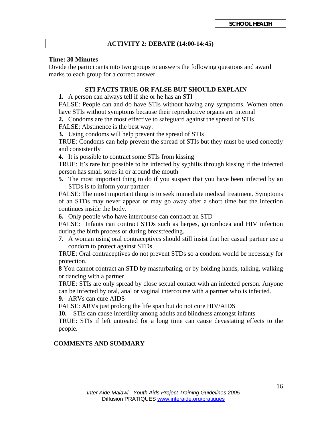#### **ACTIVITY 2: DEBATE (14:00-14:45)**

#### **Time: 30 Minutes**

Divide the participants into two groups to answers the following questions and award marks to each group for a correct answer

#### **STI FACTS TRUE OR FALSE BUT SHOULD EXPLAIN**

**1.** A person can always tell if she or he has an STI

FALSE: People can and do have STIs without having any symptoms. Women often have STIs without symptoms because their reproductive organs are internal

**2.** Condoms are the most effective to safeguard against the spread of STIs FALSE: Abstinence is the best way.

**3.** Using condoms will help prevent the spread of STIs

TRUE: Condoms can help prevent the spread of STIs but they must be used correctly and consistently

**4.** It is possible to contract some STIs from kissing

TRUE: It's rare but possible to be infected by syphilis through kissing if the infected person has small sores in or around the mouth

**5.** The most important thing to do if you suspect that you have been infected by an STDs is to inform your partner

FALSE: The most important thing is to seek immediate medical treatment. Symptoms of an STDs may never appear or may go away after a short time but the infection continues inside the body.

**6.** Only people who have intercourse can contract an STD

FALSE: Infants can contract STDs such as herpes, gonorrhoea and HIV infection during the birth process or during breastfeeding.

**7.** A woman using oral contraceptives should still insist that her casual partner use a condom to protect against STDs

TRUE: Oral contraceptives do not prevent STDs so a condom would be necessary for protection.

**8** You cannot contract an STD by masturbating, or by holding hands, talking, walking or dancing with a partner

TRUE: STIs are only spread by close sexual contact with an infected person. Anyone can be infected by oral, anal or vaginal intercourse with a partner who is infected.

**9.** ARVs can cure AIDS

FALSE: ARVs just prolong the life span but do not cure HIV/AIDS

**10.** STIs can cause infertility among adults and blindness amongst infants

TRUE: STIs if left untreated for a long time can cause devastating effects to the people.

#### **COMMENTS AND SUMMARY**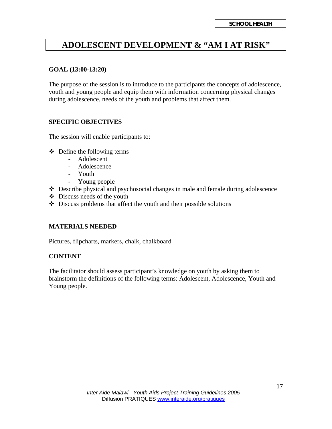## **ADOLESCENT DEVELOPMENT & "AM I AT RISK"**

#### **GOAL (13:00-13:20)**

The purpose of the session is to introduce to the participants the concepts of adolescence, youth and young people and equip them with information concerning physical changes during adolescence, needs of the youth and problems that affect them.

#### **SPECIFIC OBJECTIVES**

The session will enable participants to:

- $\triangleleft$  Define the following terms
	- Adolescent
		- Adolescence
		- Youth
		- Young people
- Describe physical and psychosocial changes in male and female during adolescence
- Discuss needs of the youth
- $\triangle$  Discuss problems that affect the youth and their possible solutions

#### **MATERIALS NEEDED**

Pictures, flipcharts, markers, chalk, chalkboard

#### **CONTENT**

The facilitator should assess participant's knowledge on youth by asking them to brainstorm the definitions of the following terms: Adolescent, Adolescence, Youth and Young people.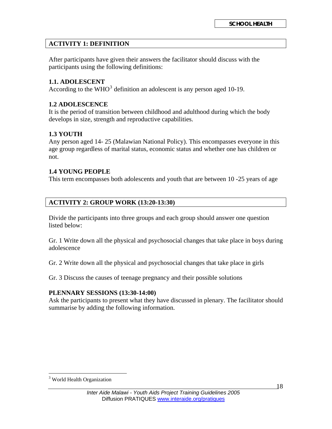#### **ACTIVITY 1: DEFINITION**

After participants have given their answers the facilitator should discuss with the participants using the following definitions:

#### **1.1. ADOLESCENT**

According to the WHO<sup>[3](#page-17-0)</sup> definition an adolescent is any person aged 10-19.

#### **1.2 ADOLESCENCE**

It is the period of transition between childhood and adulthood during which the body develops in size, strength and reproductive capabilities.

#### **1.3 YOUTH**

Any person aged 14- 25 (Malawian National Policy). This encompasses everyone in this age group regardless of marital status, economic status and whether one has children or not.

#### **1.4 YOUNG PEOPLE**

This term encompasses both adolescents and youth that are between 10 -25 years of age

#### **ACTIVITY 2: GROUP WORK (13:20-13:30)**

Divide the participants into three groups and each group should answer one question listed below:

Gr. 1 Write down all the physical and psychosocial changes that take place in boys during adolescence

Gr. 2 Write down all the physical and psychosocial changes that take place in girls

Gr. 3 Discuss the causes of teenage pregnancy and their possible solutions

#### **PLENNARY SESSIONS (13:30-14:00)**

Ask the participants to present what they have discussed in plenary. The facilitator should summarise by adding the following information.

<span id="page-17-0"></span> $\overline{a}$ <sup>3</sup> World Health Organization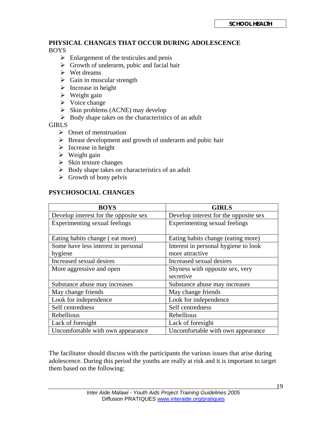#### **PHYSICAL CHANGES THAT OCCUR DURING ADOLESCENCE**  BOYS

- $\triangleright$  Enlargement of the testicules and penis
- $\triangleright$  Growth of underarm, pubic and facial hair
- $\triangleright$  Wet dreams
- $\triangleright$  Gain in muscular strength
- $\triangleright$  Increase in height
- $\triangleright$  Weight gain
- $\triangleright$  Voice change
- $\triangleright$  Skin problems (ACNE) may develop
- $\triangleright$  Body shape takes on the characteristics of an adult

**GIRLS** 

- $\triangleright$  Onset of menstruation
- $\triangleright$  Breast development and growth of underarm and pubic hair
- $\triangleright$  Increase in height
- $\triangleright$  Weight gain
- $\triangleright$  Skin texture changes
- $\triangleright$  Body shape takes on characteristics of an adult
- $\triangleright$  Growth of bony pelvis

#### **PSYCHOSOCIAL CHANGES**

| <b>BOYS</b>                           | <b>GIRLS</b>                                 |
|---------------------------------------|----------------------------------------------|
| Develop interest for the opposite sex | Develop interest for the opposite sex        |
| Experimenting sexual feelings         | Experimenting sexual feelings                |
| Eating habits change (eat more)       | Eating habits change (eating more)           |
| Some have less interest in personal   | Interest in personal hygiene to look         |
| hygiene                               | more attractive                              |
| Increased sexual desires              | Increased sexual desires                     |
| More aggressive and open              | Shyness with opposite sex, very<br>secretive |
| Substance abuse may increases         | Substance abuse may increases                |
| May change friends                    | May change friends                           |
| Look for independence                 | Look for independence                        |
| Self centredness                      | Self centredness                             |
| Rebellious                            | Rebellious                                   |
| Lack of foresight                     | Lack of foresight                            |
| Uncomfortable with own appearance     | Uncomfortable with own appearance            |

The facilitator should discuss with the participants the various issues that arise during adolescence. During this period the youths are really at risk and it is important to target them based on the following: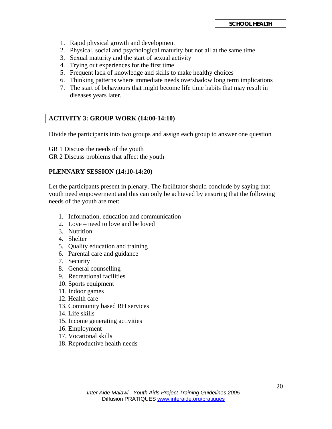- 1. Rapid physical growth and development
- 2. Physical, social and psychological maturity but not all at the same time
- 3. Sexual maturity and the start of sexual activity
- 4. Trying out experiences for the first time
- 5. Frequent lack of knowledge and skills to make healthy choices
- 6. Thinking patterns where immediate needs overshadow long term implications
- 7. The start of behaviours that might become life time habits that may result in diseases years later.

#### **ACTIVITY 3: GROUP WORK (14:00-14:10)**

Divide the participants into two groups and assign each group to answer one question

GR 1 Discuss the needs of the youth GR 2 Discuss problems that affect the youth

#### **PLENNARY SESSION (14:10-14:20)**

Let the participants present in plenary. The facilitator should conclude by saying that youth need empowerment and this can only be achieved by ensuring that the following needs of the youth are met:

- 1. Information, education and communication
- 2. Love need to love and be loved
- 3. Nutrition
- 4. Shelter
- 5. Quality education and training
- 6. Parental care and guidance
- 7. Security
- 8. General counselling
- 9. Recreational facilities
- 10. Sports equipment
- 11. Indoor games
- 12. Health care
- 13. Community based RH services
- 14. Life skills
- 15. Income generating activities
- 16. Employment
- 17. Vocational skills
- 18. Reproductive health needs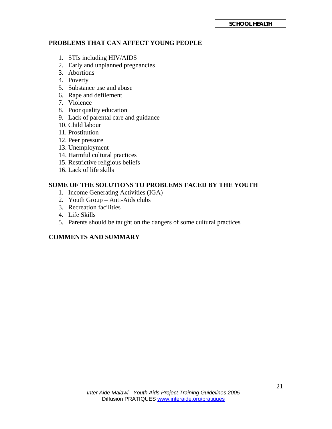#### **PROBLEMS THAT CAN AFFECT YOUNG PEOPLE**

- 1. STIs including HIV/AIDS
- 2. Early and unplanned pregnancies
- 3. Abortions
- 4. Poverty
- 5. Substance use and abuse
- 6. Rape and defilement
- 7. Violence
- 8. Poor quality education
- 9. Lack of parental care and guidance
- 10. Child labour
- 11. Prostitution
- 12. Peer pressure
- 13. Unemployment
- 14. Harmful cultural practices
- 15. Restrictive religious beliefs
- 16. Lack of life skills

#### **SOME OF THE SOLUTIONS TO PROBLEMS FACED BY THE YOUTH**

- 1. Income Generating Activities (IGA)
- 2. Youth Group Anti-Aids clubs
- 3. Recreation facilities
- 4. Life Skills
- 5. Parents should be taught on the dangers of some cultural practices

#### **COMMENTS AND SUMMARY**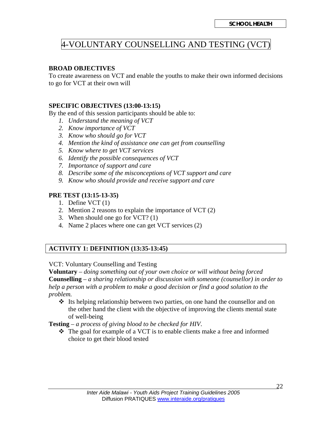## 4-VOLUNTARY COUNSELLING AND TESTING (VCT)

#### **BROAD OBJECTIVES**

To create awareness on VCT and enable the youths to make their own informed decisions to go for VCT at their own will

#### **SPECIFIC OBJECTIVES (13:00-13:15)**

By the end of this session participants should be able to:

- *1. Understand the meaning of VCT*
- *2. Know importance of VCT*
- *3. Know who should go for VCT*
- *4. Mention the kind of assistance one can get from counselling*
- *5. Know where to get VCT services*
- *6. Identify the possible consequences of VCT*
- *7. Importance of support and care*
- *8. Describe some of the misconceptions of VCT support and care*
- *9. Know who should provide and receive support and care*

#### **PRE TEST (13:15-13-35)**

- 1. Define VCT (1)
- 2. Mention 2 reasons to explain the importance of VCT (2)
- 3. When should one go for VCT? (1)
- 4. Name 2 places where one can get VCT services (2)

#### **ACTIVITY 1: DEFINITION (13:35-13:45)**

#### VCT: Voluntary Counselling and Testing

**Voluntary** – *doing something out of your own choice or will without being forced*  **Counselling** – *a sharing relationship or discussion with someone (counsellor) in order to help a person with a problem to make a good decision or find a good solution to the problem.* 

 $\div$  Its helping relationship between two parties, on one hand the counsellor and on the other hand the client with the objective of improving the clients mental state of well-being

**Testing** – *a process of giving blood to be checked for HIV*.

 $\div$  The goal for example of a VCT is to enable clients make a free and informed choice to get their blood tested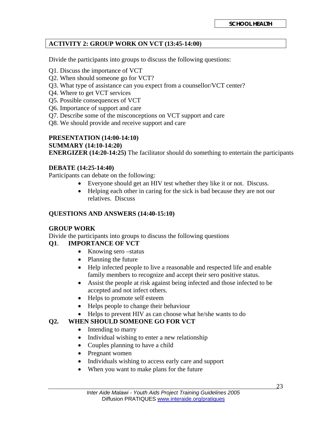#### **ACTIVITY 2: GROUP WORK ON VCT (13:45-14:00)**

Divide the participants into groups to discuss the following questions:

- Q1. Discuss the importance of VCT
- Q2. When should someone go for VCT?
- Q3. What type of assistance can you expect from a counsellor/VCT center?
- Q4. Where to get VCT services
- Q5. Possible consequences of VCT
- Q6. Importance of support and care
- Q7. Describe some of the misconceptions on VCT support and care
- Q8. We should provide and receive support and care

## **PRESENTATION (14:00-14:10)**

#### **SUMMARY (14:10-14:20)**

**ENERGIZER (14:20-14:25)** The facilitator should do something to entertain the participants

#### **DEBATE (14:25-14:40)**

Participants can debate on the following:

- Everyone should get an HIV test whether they like it or not. Discuss.
- Helping each other in caring for the sick is bad because they are not our relatives. Discuss

#### **QUESTIONS AND ANSWERS (14:40-15:10)**

#### **GROUP WORK**

Divide the participants into groups to discuss the following questions

#### **Q1**. **IMPORTANCE OF VCT**

- Knowing sero status
- Planning the future
- Help infected people to live a reasonable and respected life and enable family members to recognize and accept their sero positive status.
- Assist the people at risk against being infected and those infected to be accepted and not infect others.
- Helps to promote self esteem
- Helps people to change their behaviour
- Helps to prevent HIV as can choose what he/she wants to do

#### **Q2. WHEN SHOULD SOMEONE GO FOR VCT**

- Intending to marry
- Individual wishing to enter a new relationship
- Couples planning to have a child
- Pregnant women
- Individuals wishing to access early care and support
- When you want to make plans for the future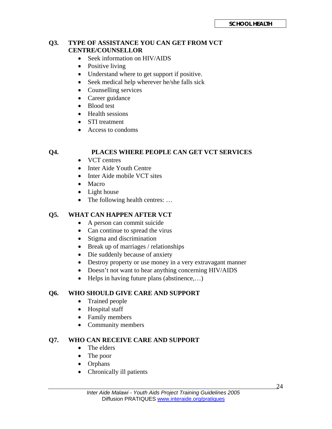#### **Q3. TYPE OF ASSISTANCE YOU CAN GET FROM VCT CENTRE/COUNSELLOR**

- Seek information on HIV/AIDS
- Positive living
- Understand where to get support if positive.
- Seek medical help wherever he/she falls sick
- Counselling services
- Career guidance
- Blood test
- Health sessions
- STI treatment
- Access to condoms

#### **Q4. PLACES WHERE PEOPLE CAN GET VCT SERVICES**

- VCT centres
- Inter Aide Youth Centre
- Inter Aide mobile VCT sites
- Macro
- Light house
- The following health centres: ...

#### **Q5. WHAT CAN HAPPEN AFTER VCT**

- A person can commit suicide
- Can continue to spread the virus
- Stigma and discrimination
- Break up of marriages / relationships
- Die suddenly because of anxiety
- Destroy property or use money in a very extravagant manner
- Doesn't not want to hear anything concerning HIV/AIDS
- Helps in having future plans (abstinence,...)

#### **Q6. WHO SHOULD GIVE CARE AND SUPPORT**

- Trained people
- Hospital staff
- Family members
- Community members

#### **Q7. WHO CAN RECEIVE CARE AND SUPPORT**

- The elders
- The poor
- Orphans
- Chronically ill patients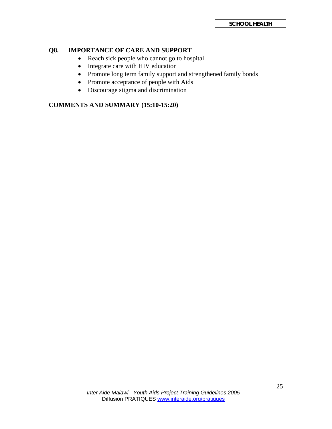#### **Q8. IMPORTANCE OF CARE AND SUPPORT**

- Reach sick people who cannot go to hospital
- Integrate care with HIV education
- Promote long term family support and strengthened family bonds
- Promote acceptance of people with Aids
- Discourage stigma and discrimination

#### **COMMENTS AND SUMMARY (15:10-15:20)**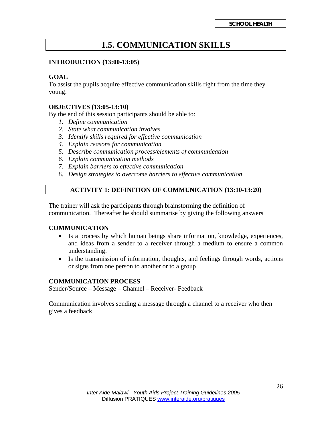## **1.5. COMMUNICATION SKILLS**

#### **INTRODUCTION (13:00-13:05)**

#### **GOAL**

To assist the pupils acquire effective communication skills right from the time they young.

#### **OBJECTIVES (13:05-13:10)**

By the end of this session participants should be able to:

- *1. Define communication*
- *2. State what communication involves*
- *3. Identify skills required for effective communication*
- *4. Explain reasons for communication*
- *5. Describe communication process/elements of communication*
- *6. Explain communication methods*
- *7. Explain barriers to effective communication*
- 8. *Design strategies to overcome barriers to effective communication*

#### **ACTIVITY 1: DEFINITION OF COMMUNICATION (13:10-13:20)**

The trainer will ask the participants through brainstorming the definition of communication. Thereafter he should summarise by giving the following answers

#### **COMMUNICATION**

- Is a process by which human beings share information, knowledge, experiences, and ideas from a sender to a receiver through a medium to ensure a common understanding.
- Is the transmission of information, thoughts, and feelings through words, actions or signs from one person to another or to a group

#### **COMMUNICATION PROCESS**

Sender/Source – Message – Channel – Receiver- Feedback

Communication involves sending a message through a channel to a receiver who then gives a feedback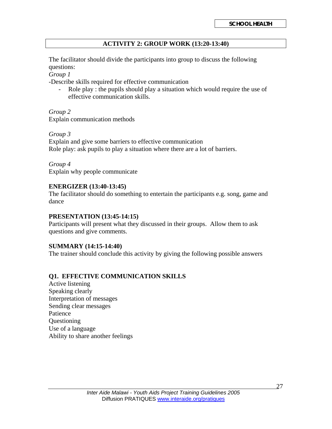#### **ACTIVITY 2: GROUP WORK (13:20-13:40)**

The facilitator should divide the participants into group to discuss the following questions:

*Group 1* 

-Describe skills required for effective communication

- Role play : the pupils should play a situation which would require the use of effective communication skills.

*Group 2*  Explain communication methods

*Group 3*  Explain and give some barriers to effective communication Role play: ask pupils to play a situation where there are a lot of barriers.

*Group 4*  Explain why people communicate

#### **ENERGIZER (13:40-13:45)**

The facilitator should do something to entertain the participants e.g. song, game and dance

#### **PRESENTATION (13:45-14:15)**

Participants will present what they discussed in their groups. Allow them to ask questions and give comments.

#### **SUMMARY (14:15-14:40)**

The trainer should conclude this activity by giving the following possible answers

#### **Q1. EFFECTIVE COMMUNICATION SKILLS**

Active listening Speaking clearly Interpretation of messages Sending clear messages Patience Questioning Use of a language Ability to share another feelings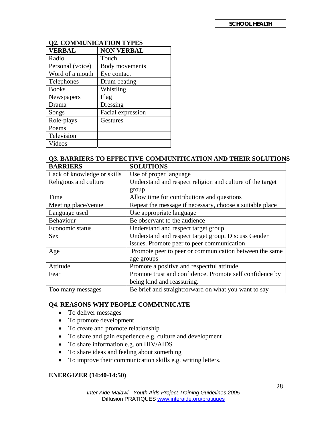| 04. COMMUNICATION TITED |                   |  |  |
|-------------------------|-------------------|--|--|
| VERBAL                  | <b>NON VERBAL</b> |  |  |
| Radio                   | Touch             |  |  |
| Personal (voice)        | Body movements    |  |  |
| Word of a mouth         | Eye contact       |  |  |
| Telephones              | Drum beating      |  |  |
| <b>Books</b>            | Whistling         |  |  |
| Newspapers              | Flag              |  |  |
| Drama                   | Dressing          |  |  |
| Songs                   | Facial expression |  |  |
| Role-plays              | Gestures          |  |  |
| Poems                   |                   |  |  |
| Television              |                   |  |  |
| Videos                  |                   |  |  |

#### **Q2. COMMUNICATION TYPES**

## **Q3. BARRIERS TO EFFECTIVE COMMUNITICATION AND THEIR SOLUTIONS**

| <b>BARRIERS</b>             | <b>SOLUTIONS</b>                                          |  |
|-----------------------------|-----------------------------------------------------------|--|
| Lack of knowledge or skills | Use of proper language                                    |  |
| Religious and culture       | Understand and respect religion and culture of the target |  |
|                             | group                                                     |  |
| Time                        | Allow time for contributions and questions                |  |
| Meeting place/venue         | Repeat the message if necessary, choose a suitable place  |  |
| Language used               | Use appropriate language                                  |  |
| Behaviour                   | Be observant to the audience                              |  |
| Economic status             | Understand and respect target group                       |  |
| <b>Sex</b>                  | Understand and respect target group. Discuss Gender       |  |
|                             | issues. Promote peer to peer communication                |  |
| Age                         | Promote peer to peer or communication between the same    |  |
|                             | age groups                                                |  |
| Attitude                    | Promote a positive and respectful attitude.               |  |
| Fear                        | Promote trust and confidence. Promote self confidence by  |  |
|                             | being kind and reassuring.                                |  |
| Too many messages           | Be brief and straightforward on what you want to say      |  |

#### **Q4. REASONS WHY PEOPLE COMMUNICATE**

- To deliver messages
- To promote development
- To create and promote relationship
- To share and gain experience e.g. culture and development
- To share information e.g. on HIV/AIDS
- To share ideas and feeling about something
- To improve their communication skills e.g. writing letters.

#### **ENERGIZER (14:40-14:50)**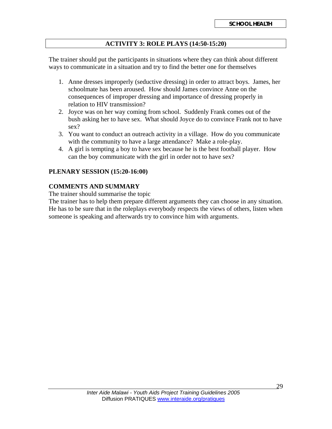#### **ACTIVITY 3: ROLE PLAYS (14:50-15:20)**

The trainer should put the participants in situations where they can think about different ways to communicate in a situation and try to find the better one for themselves

- 1. Anne dresses improperly (seductive dressing) in order to attract boys. James, her schoolmate has been aroused. How should James convince Anne on the consequences of improper dressing and importance of dressing properly in relation to HIV transmission?
- 2. Joyce was on her way coming from school. Suddenly Frank comes out of the bush asking her to have sex. What should Joyce do to convince Frank not to have sex?
- 3. You want to conduct an outreach activity in a village. How do you communicate with the community to have a large attendance? Make a role-play.
- 4. A girl is tempting a boy to have sex because he is the best football player. How can the boy communicate with the girl in order not to have sex?

#### **PLENARY SESSION (15:20-16:00)**

#### **COMMENTS AND SUMMARY**

The trainer should summarise the topic

The trainer has to help them prepare different arguments they can choose in any situation. He has to be sure that in the roleplays everybody respects the views of others, listen when someone is speaking and afterwards try to convince him with arguments.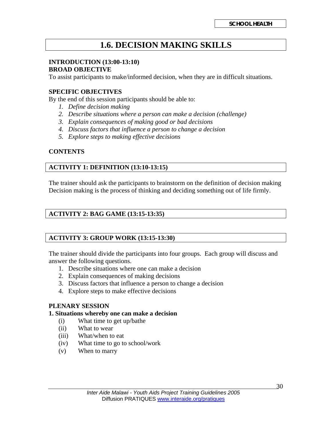## **1.6. DECISION MAKING SKILLS**

## **INTRODUCTION (13:00-13:10)**

#### **BROAD OBJECTIVE**

To assist participants to make/informed decision, when they are in difficult situations.

#### **SPECIFIC OBJECTIVES**

By the end of this session participants should be able to:

- *1. Define decision making*
- *2. Describe situations where a person can make a decision (challenge)*
- *3. Explain consequences of making good or bad decisions*
- *4. Discuss factors that influence a person to change a decision*
- *5. Explore steps to making effective decisions*

#### **CONTENTS**

#### **ACTIVITY 1: DEFINITION (13:10-13:15)**

The trainer should ask the participants to brainstorm on the definition of decision making Decision making is the process of thinking and deciding something out of life firmly.

#### **ACTIVITY 2: BAG GAME (13:15-13:35)**

#### **ACTIVITY 3: GROUP WORK (13:15-13:30)**

The trainer should divide the participants into four groups. Each group will discuss and answer the following questions.

- 1. Describe situations where one can make a decision
- 2. Explain consequences of making decisions
- 3. Discuss factors that influence a person to change a decision
- 4. Explore steps to make effective decisions

#### **PLENARY SESSION**

#### **1. Situations whereby one can make a decision**

- (i) What time to get up/bathe
- (ii) What to wear
- (iii) What/when to eat
- (iv) What time to go to school/work
- (v) When to marry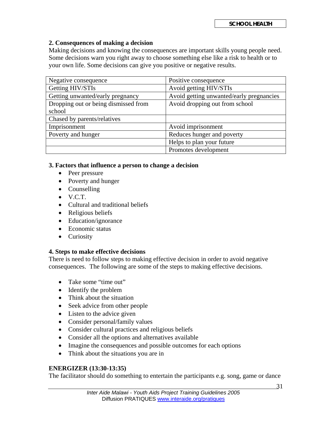#### **2. Consequences of making a decision**

Making decisions and knowing the consequences are important skills young people need. Some decisions warn you right away to choose something else like a risk to health or to your own life. Some decisions can give you positive or negative results.

| Negative consequence                 | Positive consequence                     |
|--------------------------------------|------------------------------------------|
| Getting HIV/STIs                     | Avoid getting HIV/STIs                   |
| Getting unwanted/early pregnancy     | Avoid getting unwanted/early pregnancies |
| Dropping out or being dismissed from | Avoid dropping out from school           |
| school                               |                                          |
| Chased by parents/relatives          |                                          |
| Imprisonment                         | Avoid imprisonment                       |
| Poverty and hunger                   | Reduces hunger and poverty               |
|                                      | Helps to plan your future                |
|                                      | Promotes development                     |

#### **3. Factors that influence a person to change a decision**

- Peer pressure
- Poverty and hunger
- Counselling
- $\bullet$  V.C.T.
- Cultural and traditional beliefs
- Religious beliefs
- Education/ignorance
- Economic status
- Curiosity

#### **4. Steps to make effective decisions**

There is need to follow steps to making effective decision in order to avoid negative consequences. The following are some of the steps to making effective decisions.

- Take some "time out"
- Identify the problem
- Think about the situation
- Seek advice from other people
- Listen to the advice given
- Consider personal/family values
- Consider cultural practices and religious beliefs
- Consider all the options and alternatives available
- Imagine the consequences and possible outcomes for each options
- Think about the situations you are in

#### **ENERGIZER (13:30-13:35)**

The facilitator should do something to entertain the participants e.g. song, game or dance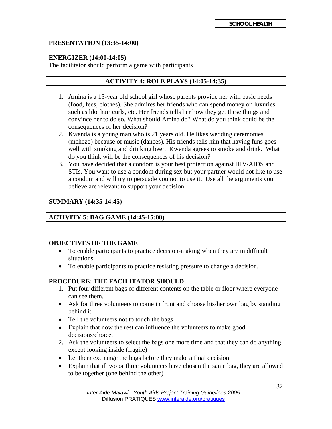#### **PRESENTATION (13:35-14:00)**

#### **ENERGIZER (14:00-14:05)**

The facilitator should perform a game with participants

#### **ACTIVITY 4: ROLE PLAYS (14:05-14:35)**

- 1. Amina is a 15-year old school girl whose parents provide her with basic needs (food, fees, clothes). She admires her friends who can spend money on luxuries such as like hair curls, etc. Her friends tells her how they get these things and convince her to do so. What should Amina do? What do you think could be the consequences of her decision?
- 2. Kwenda is a young man who is 21 years old. He likes wedding ceremonies (mchezo) because of music (dances). His friends tells him that having funs goes well with smoking and drinking beer. Kwenda agrees to smoke and drink. What do you think will be the consequences of his decision?
- 3. You have decided that a condom is your best protection against HIV/AIDS and STIs. You want to use a condom during sex but your partner would not like to use a condom and will try to persuade you not to use it. Use all the arguments you believe are relevant to support your decision.

#### **SUMMARY (14:35-14:45)**

#### **ACTIVITY 5: BAG GAME (14:45-15:00)**

#### **OBJECTIVES OF THE GAME**

- To enable participants to practice decision-making when they are in difficult situations.
- To enable participants to practice resisting pressure to change a decision.

#### **PROCEDURE: THE FACILITATOR SHOULD**

- 1. Put four different bags of different contents on the table or floor where everyone can see them.
- Ask for three volunteers to come in front and choose his/her own bag by standing behind it.
- Tell the volunteers not to touch the bags
- Explain that now the rest can influence the volunteers to make good decisions/choice.
- 2. Ask the volunteers to select the bags one more time and that they can do anything except looking inside (fragile)
- Let them exchange the bags before they make a final decision.
- Explain that if two or three volunteers have chosen the same bag, they are allowed to be together (one behind the other)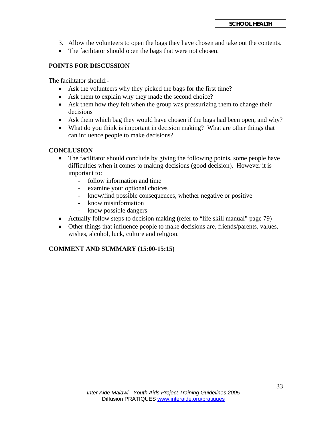- 3. Allow the volunteers to open the bags they have chosen and take out the contents.
- The facilitator should open the bags that were not chosen.

#### **POINTS FOR DISCUSSION**

The facilitator should:-

- Ask the volunteers why they picked the bags for the first time?
- Ask them to explain why they made the second choice?
- Ask them how they felt when the group was pressurizing them to change their decisions
- Ask them which bag they would have chosen if the bags had been open, and why?
- What do you think is important in decision making? What are other things that can influence people to make decisions?

#### **CONCLUSION**

- The facilitator should conclude by giving the following points, some people have difficulties when it comes to making decisions (good decision). However it is important to:
	- follow information and time
	- examine your optional choices
	- know/find possible consequences, whether negative or positive
	- know misinformation
	- know possible dangers
- Actually follow steps to decision making (refer to "life skill manual" page 79)
- Other things that influence people to make decisions are, friends/parents, values, wishes, alcohol, luck, culture and religion.

#### **COMMENT AND SUMMARY (15:00-15:15)**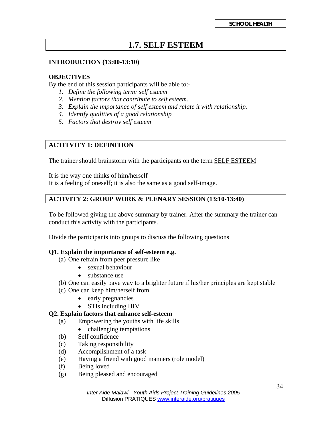## **1.7. SELF ESTEEM**

#### **INTRODUCTION (13:00-13:10)**

#### **OBJECTIVES**

By the end of this session participants will be able to:-

- *1. Define the following term: self esteem*
- *2. Mention factors that contribute to self esteem.*
- *3. Explain the importance of self esteem and relate it with relationship.*
- *4. Identify qualities of a good relationship*
- *5. Factors that destroy self esteem*

#### **ACTITVITY 1: DEFINITION**

The trainer should brainstorm with the participants on the term **SELF ESTEEM** 

It is the way one thinks of him/herself It is a feeling of oneself; it is also the same as a good self-image.

#### **ACTIVITY 2: GROUP WORK & PLENARY SESSION (13:10-13:40)**

To be followed giving the above summary by trainer. After the summary the trainer can conduct this activity with the participants.

Divide the participants into groups to discuss the following questions

#### **Q1. Explain the importance of self-esteem e.g.**

- (a) One refrain from peer pressure like
	- sexual behaviour
	- substance use
- (b) One can easily pave way to a brighter future if his/her principles are kept stable
- (c) One can keep him/herself from
	- early pregnancies
	- STIs including HIV

#### **Q2. Explain factors that enhance self-esteem**

- (a) Empowering the youths with life skills
	- challenging temptations
- (b) Self confidence
- (c) Taking responsibility
- (d) Accomplishment of a task
- (e) Having a friend with good manners (role model)
- (f) Being loved
- (g) Being pleased and encouraged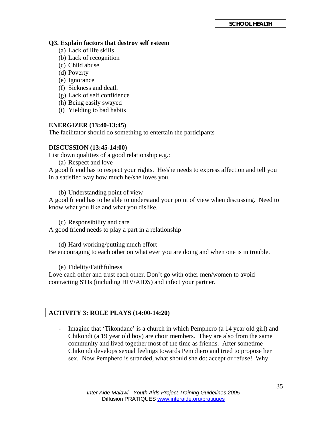#### **Q3. Explain factors that destroy self esteem**

- (a) Lack of life skills
- (b) Lack of recognition
- (c) Child abuse
- (d) Poverty
- (e) Ignorance
- (f) Sickness and death
- (g) Lack of self confidence
- (h) Being easily swayed
- (i) Yielding to bad habits

#### **ENERGIZER (13:40-13:45)**

The facilitator should do something to entertain the participants

#### **DISCUSSION (13:45-14:00)**

List down qualities of a good relationship e.g.:

(a) Respect and love

A good friend has to respect your rights. He/she needs to express affection and tell you in a satisfied way how much he/she loves you.

(b) Understanding point of view

A good friend has to be able to understand your point of view when discussing. Need to know what you like and what you dislike.

(c) Responsibility and care

A good friend needs to play a part in a relationship

(d) Hard working/putting much effort Be encouraging to each other on what ever you are doing and when one is in trouble.

(e) Fidelity/Faithfulness

Love each other and trust each other. Don't go with other men/women to avoid contracting STIs (including HIV/AIDS) and infect your partner.

#### **ACTIVITY 3: ROLE PLAYS (14:00-14:20)**

- Imagine that 'Tikondane' is a church in which Pemphero (a 14 year old girl) and Chikondi (a 19 year old boy) are choir members. They are also from the same community and lived together most of the time as friends. After sometime Chikondi develops sexual feelings towards Pemphero and tried to propose her sex. Now Pemphero is stranded, what should she do: accept or refuse! Why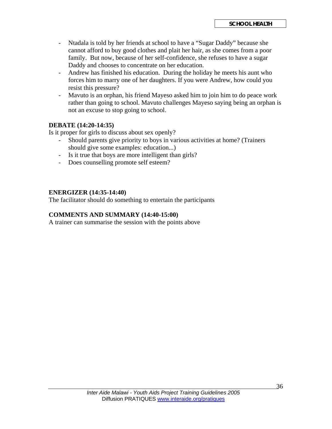- Ntadala is told by her friends at school to have a "Sugar Daddy" because she cannot afford to buy good clothes and plait her hair, as she comes from a poor family. But now, because of her self-confidence, she refuses to have a sugar Daddy and chooses to concentrate on her education.
- Andrew has finished his education. During the holiday he meets his aunt who forces him to marry one of her daughters. If you were Andrew, how could you resist this pressure?
- Mavuto is an orphan, his friend Mayeso asked him to join him to do peace work rather than going to school. Mavuto challenges Mayeso saying being an orphan is not an excuse to stop going to school.

#### **DEBATE (14:20-14:35)**

Is it proper for girls to discuss about sex openly?

- Should parents give priority to boys in various activities at home? (Trainers should give some examples: education...)
- Is it true that boys are more intelligent than girls?
- Does counselling promote self esteem?

#### **ENERGIZER (14:35-14:40)**

The facilitator should do something to entertain the participants

#### **COMMENTS AND SUMMARY (14:40-15:00)**

A trainer can summarise the session with the points above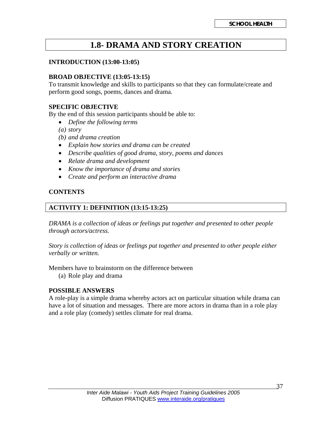## **1.8- DRAMA AND STORY CREATION**

#### **INTRODUCTION (13:00-13:05)**

#### **BROAD OBJECTIVE (13:05-13:15)**

To transmit knowledge and skills to participants so that they can formulate/create and perform good songs, poems, dances and drama.

#### **SPECIFIC OBJECTIVE**

By the end of this session participants should be able to:

- *Define the following terms*
- *(a) story*
- *(b) and drama creation*
- *Explain how stories and drama can be created*
- *Describe qualities of good drama, story, poems and dances*
- *Relate drama and development*
- *Know the importance of drama and stories*
- *Create and perform an interactive drama*

#### **CONTENTS**

#### **ACTIVITY 1: DEFINITION (13:15-13:25)**

*DRAMA is a collection of ideas or feelings put together and presented to other people through actors/actress.* 

*Story is collection of ideas or feelings put together and presented to other people either verbally or written.* 

Members have to brainstorm on the difference between

(a) Role play and drama

#### **POSSIBLE ANSWERS**

A role-play is a simple drama whereby actors act on particular situation while drama can have a lot of situation and messages. There are more actors in drama than in a role play and a role play (comedy) settles climate for real drama.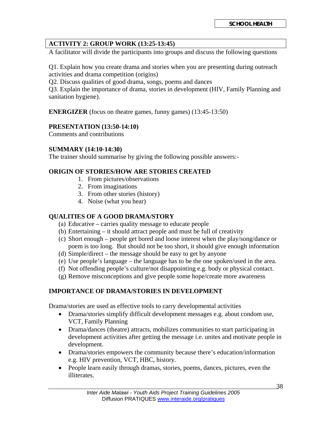#### **ACTIVITY 2: GROUP WORK (13:25-13:45)**

A facilitator will divide the participants into groups and discuss the following questions

Q1. Explain how you create drama and stories when you are presenting during outreach activities and drama competition (origins)

Q2. Discuss qualities of good drama, songs, poems and dances

Q3. Explain the importance of drama, stories in development (HIV, Family Planning and sanitation hygiene).

**ENERGIZER** (focus on theatre games, funny games) (13:45-13:50)

#### **PRESENTATION (13:50-14:10)**

Comments and contributions

#### **SUMMARY (14:10-14:30)**

The trainer should summarise by giving the following possible answers:-

#### **ORIGIN OF STORIES/HOW ARE STORIES CREATED**

- 1. From pictures/observations
- 2. From imaginations
- 3. From other stories (history)
- 4. Noise (what you hear)

#### **QUALITIES OF A GOOD DRAMA/STORY**

- (a) Educative carries quality message to educate people
- (b) Entertaining it should attract people and must be full of creativity
- (c) Short enough people get bored and loose interest when the play/song/dance or poem is too long. But should not be too short, it should give enough information
- (d) Simple/direct the message should be easy to get by anyone
- (e) Use people's language the language has to be the one spoken/used in the area.
- (f) Not offending people's culture/not disappointing e.g. body or physical contact.
- (g) Remove misconceptions and give people some hope/create more awareness

#### **IMPORTANCE OF DRAMA/STORIES IN DEVELOPMENT**

Drama/stories are used as effective tools to carry developmental activities

- Drama/stories simplify difficult development messages e.g. about condom use, VCT, Family Planning
- Drama/dances (theatre) attracts, mobilizes communities to start participating in development activities after getting the message i.e. unites and motivate people in development.
- Drama/stories empowers the community because there's education/information e.g. HIV prevention, VCT, HBC, history.
- People learn easily through dramas, stories, poems, dances, pictures, even the illiterates.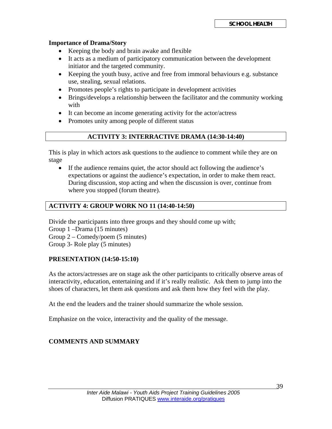#### **Importance of Drama/Story**

- Keeping the body and brain awake and flexible
- It acts as a medium of participatory communication between the development initiator and the targeted community.
- Keeping the youth busy, active and free from immoral behaviours e.g. substance use, stealing, sexual relations.
- Promotes people's rights to participate in development activities
- Brings/develops a relationship between the facilitator and the community working with
- It can become an income generating activity for the actor/actress
- Promotes unity among people of different status

#### **ACTIVITY 3: INTERRACTIVE DRAMA (14:30-14:40)**

This is play in which actors ask questions to the audience to comment while they are on stage

• If the audience remains quiet, the actor should act following the audience's expectations or against the audience's expectation, in order to make them react. During discussion, stop acting and when the discussion is over, continue from where you stopped (forum theatre).

#### **ACTIVITY 4: GROUP WORK NO 11 (14:40-14:50)**

Divide the participants into three groups and they should come up with;

Group 1 –Drama (15 minutes)

Group 2 – Comedy/poem (5 minutes)

Group 3- Role play (5 minutes)

#### **PRESENTATION (14:50-15:10)**

As the actors/actresses are on stage ask the other participants to critically observe areas of interactivity, education, entertaining and if it's really realistic. Ask them to jump into the shoes of characters, let them ask questions and ask them how they feel with the play.

At the end the leaders and the trainer should summarize the whole session.

Emphasize on the voice, interactivity and the quality of the message.

#### **COMMENTS AND SUMMARY**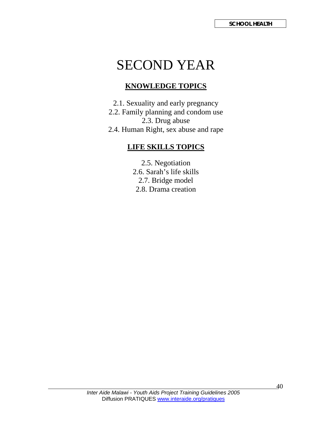## SECOND YEAR

## **KNOWLEDGE TOPICS**

2.1. Sexuality and early pregnancy 2.2. Family planning and condom use 2.3. Drug abuse 2.4. Human Right, sex abuse and rape

## **LIFE SKILLS TOPICS**

2.5. Negotiation 2.6. Sarah's life skills 2.7. Bridge model 2.8. Drama creation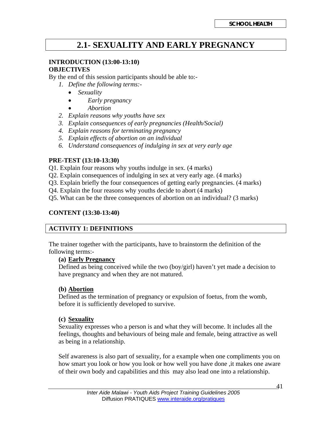## **2.1- SEXUALITY AND EARLY PREGNANCY**

#### **INTRODUCTION (13:00-13:10)**

#### **OBJECTIVES**

By the end of this session participants should be able to:-

- *1. Define the following terms:-* 
	- *Sexuality*
	- *Early pregnancy*
	- *Abortion*
- *2. Explain reasons why youths have sex*
- *3. Explain consequences of early pregnancies (Health/Social)*
- *4. Explain reasons for terminating pregnancy*
- *5. Explain effects of abortion on an individual*
- *6. Understand consequences of indulging in sex at very early age*

#### **PRE-TEST (13:10-13:30)**

- Q1. Explain four reasons why youths indulge in sex. (4 marks)
- Q2. Explain consequences of indulging in sex at very early age. (4 marks)
- Q3. Explain briefly the four consequences of getting early pregnancies. (4 marks)
- Q4. Explain the four reasons why youths decide to abort (4 marks)
- Q5. What can be the three consequences of abortion on an individual? (3 marks)

#### **CONTENT (13:30-13:40)**

#### **ACTIVITY 1: DEFINITIONS**

The trainer together with the participants, have to brainstorm the definition of the following terms:-

#### **(a) Early Pregnancy**

Defined as being conceived while the two  $(boy/girl)$  haven't yet made a decision to have pregnancy and when they are not matured.

#### **(b) Abortion**

Defined as the termination of pregnancy or expulsion of foetus, from the womb, before it is sufficiently developed to survive.

#### **(c) Sexuality**

Sexuality expresses who a person is and what they will become. It includes all the feelings, thoughts and behaviours of being male and female, being attractive as well as being in a relationship.

Self awareness is also part of sexuality, for a example when one compliments you on how smart you look or how you look or how well you have done ,it makes one aware of their own body and capabilities and this may also lead one into a relationship.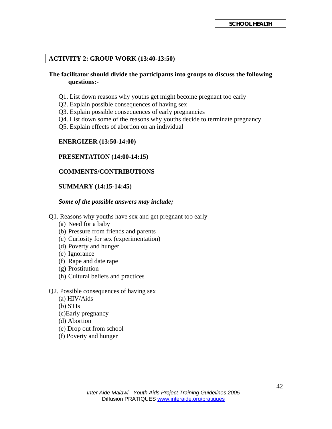#### **ACTIVITY 2: GROUP WORK (13:40-13:50)**

#### **The facilitator should divide the participants into groups to discuss the following questions:-**

- Q1. List down reasons why youths get might become pregnant too early
- Q2. Explain possible consequences of having sex
- Q3. Explain possible consequences of early pregnancies
- Q4. List down some of the reasons why youths decide to terminate pregnancy
- Q5. Explain effects of abortion on an individual

#### **ENERGIZER (13:50-14:00)**

#### **PRESENTATION (14:00-14:15)**

#### **COMMENTS/CONTRIBUTIONS**

#### **SUMMARY (14:15-14:45)**

#### *Some of the possible answers may include;*

- Q1. Reasons why youths have sex and get pregnant too early
	- (a) Need for a baby
	- (b) Pressure from friends and parents
	- (c) Curiosity for sex (experimentation)
	- (d) Poverty and hunger
	- (e) Ignorance
	- (f) Rape and date rape
	- (g) Prostitution
	- (h) Cultural beliefs and practices
- Q2. Possible consequences of having sex
	- (a) HIV/Aids
	- (b) STIs
	- (c)Early pregnancy
	- (d) Abortion
	- (e) Drop out from school
	- (f) Poverty and hunger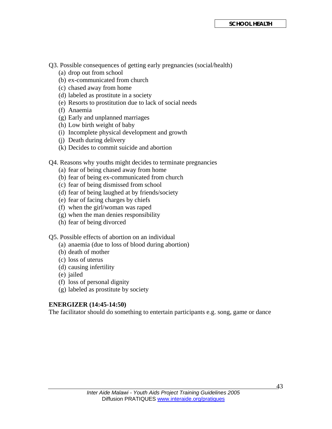Q3. Possible consequences of getting early pregnancies (social/health)

- (a) drop out from school
- (b) ex-communicated from church
- (c) chased away from home
- (d) labeled as prostitute in a society
- (e) Resorts to prostitution due to lack of social needs
- (f) Anaemia
- (g) Early and unplanned marriages
- (h) Low birth weight of baby
- (i) Incomplete physical development and growth
- (j) Death during delivery
- (k) Decides to commit suicide and abortion
- Q4. Reasons why youths might decides to terminate pregnancies
	- (a) fear of being chased away from home
	- (b) fear of being ex-communicated from church
	- (c) fear of being dismissed from school
	- (d) fear of being laughed at by friends/society
	- (e) fear of facing charges by chiefs
	- (f) when the girl/woman was raped
	- (g) when the man denies responsibility
	- (h) fear of being divorced

Q5. Possible effects of abortion on an individual

- (a) anaemia (due to loss of blood during abortion)
- (b) death of mother
- (c) loss of uterus
- (d) causing infertility
- (e) jailed
- (f) loss of personal dignity
- (g) labeled as prostitute by society

#### **ENERGIZER (14:45-14:50)**

The facilitator should do something to entertain participants e.g. song, game or dance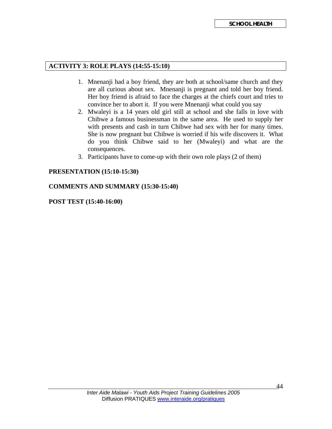#### **ACTIVITY 3: ROLE PLAYS (14:55-15:10)**

- 1. Mnenanji had a boy friend, they are both at school/same church and they are all curious about sex. Mnenanji is pregnant and told her boy friend. Her boy friend is afraid to face the charges at the chiefs court and tries to convince her to abort it. If you were Mnenanji what could you say
- 2. Mwaleyi is a 14 years old girl still at school and she falls in love with Chibwe a famous businessman in the same area. He used to supply her with presents and cash in turn Chibwe had sex with her for many times. She is now pregnant but Chibwe is worried if his wife discovers it. What do you think Chibwe said to her (Mwaleyi) and what are the consequences.
- 3. Participants have to come-up with their own role plays (2 of them)

#### **PRESENTATION (15:10-15:30)**

#### **COMMENTS AND SUMMARY (15:30-15:40)**

#### **POST TEST (15:40-16:00)**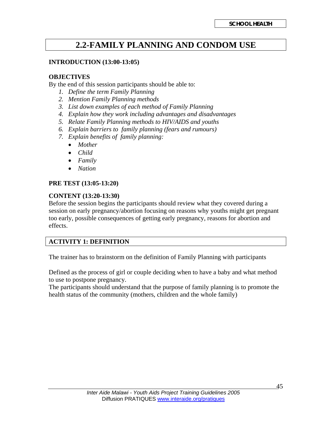## **2.2-FAMILY PLANNING AND CONDOM USE**

#### **INTRODUCTION (13:00-13:05)**

#### **OBJECTIVES**

By the end of this session participants should be able to:

- *1. Define the term Family Planning*
- *2. Mention Family Planning methods*
- *3. List down examples of each method of Family Planning*
- *4. Explain how they work including advantages and disadvantages*
- *5. Relate Family Planning methods to HIV/AIDS and youths*
- *6. Explain barriers to family planning (fears and rumours)*
- *7. Explain benefits of family planning:* 
	- *Mother*
	- *Child*
	- *Family*
	- *Nation*

#### **PRE TEST (13:05-13:20)**

#### **CONTENT (13:20-13:30)**

Before the session begins the participants should review what they covered during a session on early pregnancy/abortion focusing on reasons why youths might get pregnant too early, possible consequences of getting early pregnancy, reasons for abortion and effects.

#### **ACTIVITY 1: DEFINITION**

The trainer has to brainstorm on the definition of Family Planning with participants

Defined as the process of girl or couple deciding when to have a baby and what method to use to postpone pregnancy.

The participants should understand that the purpose of family planning is to promote the health status of the community (mothers, children and the whole family)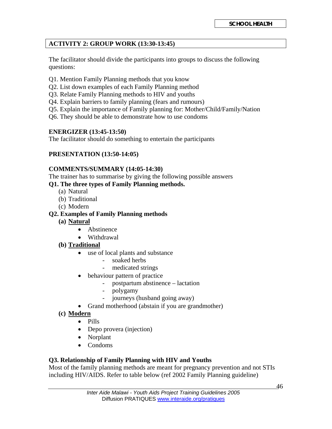#### **ACTIVITY 2: GROUP WORK (13:30-13:45)**

The facilitator should divide the participants into groups to discuss the following questions:

- Q1. Mention Family Planning methods that you know
- Q2. List down examples of each Family Planning method
- Q3. Relate Family Planning methods to HIV and youths
- Q4. Explain barriers to family planning (fears and rumours)
- Q5. Explain the importance of Family planning for: Mother/Child/Family/Nation
- Q6. They should be able to demonstrate how to use condoms

#### **ENERGIZER (13:45-13:50)**

The facilitator should do something to entertain the participants

#### **PRESENTATION (13:50-14:05)**

#### **COMMENTS/SUMMARY (14:05-14:30)**

The trainer has to summarise by giving the following possible answers **Q1. The three types of Family Planning methods.** 

- (a) Natural
- (b) Traditional
- (c) Modern

#### **Q2. Examples of Family Planning methods**

- **(a) Natural**
	- Abstinence
	- Withdrawal
- **(b) Traditional**
	- use of local plants and substance
		- soaked herbs
		- medicated strings
	- behaviour pattern of practice
		- postpartum abstinence lactation
		- polygamy
		- journeys (husband going away)
	- Grand motherhood (abstain if you are grandmother)
- **(c) Modern**
	- Pills
	- Depo provera (injection)
	- Norplant
	- Condoms

#### **Q3. Relationship of Family Planning with HIV and Youths**

Most of the family planning methods are meant for pregnancy prevention and not STIs including HIV/AIDS. Refer to table below (ref 2002 Family Planning guideline)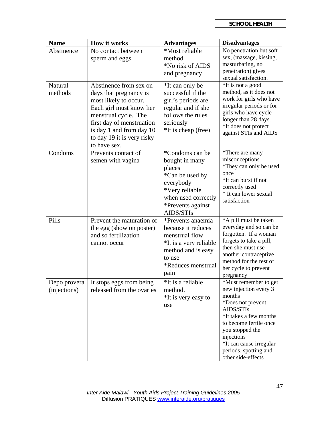| <b>Name</b>                  | <b>How it works</b>                                                                                                                                                                                                                 | <b>Advantages</b>                                                                                                                                      | <b>Disadvantages</b>                                                                                                                                                                                                                                      |
|------------------------------|-------------------------------------------------------------------------------------------------------------------------------------------------------------------------------------------------------------------------------------|--------------------------------------------------------------------------------------------------------------------------------------------------------|-----------------------------------------------------------------------------------------------------------------------------------------------------------------------------------------------------------------------------------------------------------|
| Abstinence                   | No contact between<br>sperm and eggs                                                                                                                                                                                                | *Most reliable<br>method<br>*No risk of AIDS<br>and pregnancy                                                                                          | No penetration but soft<br>sex, (massage, kissing,<br>masturbating, no<br>penetration) gives<br>sexual satisfaction.                                                                                                                                      |
| <b>Natural</b><br>methods    | Abstinence from sex on<br>days that pregnancy is<br>most likely to occur.<br>Each girl must know her<br>menstrual cycle. The<br>first day of menstruation<br>is day 1 and from day 10<br>to day 19 it is very risky<br>to have sex. | *It can only be<br>successful if the<br>girl's periods are<br>regular and if she<br>follows the rules<br>seriously<br>*It is cheap (free)              | *It is not a good<br>method, as it does not<br>work for girls who have<br>irregular periods or for<br>girls who have cycle<br>longer than 28 days.<br>*It does not protect<br>against STIs and AIDS                                                       |
| Condoms                      | Prevents contact of<br>semen with vagina                                                                                                                                                                                            | *Condoms can be<br>bought in many<br>places<br>*Can be used by<br>everybody<br>*Very reliable<br>when used correctly<br>*Prevents against<br>AIDS/STIs | *There are many<br>misconceptions<br>*They can only be used<br>once<br>*It can burst if not<br>correctly used<br>* It can lower sexual<br>satisfaction                                                                                                    |
| Pills                        | Prevent the maturation of<br>the egg (show on poster)<br>and so fertilization<br>cannot occur                                                                                                                                       | *Prevents anaemia<br>because it reduces<br>menstrual flow<br>*It is a very reliable<br>method and is easy<br>to use<br>*Reduces menstrual<br>pain      | *A pill must be taken<br>everyday and so can be<br>forgotten. If a woman<br>forgets to take a pill,<br>then she must use<br>another contraceptive<br>method for the rest of<br>her cycle to prevent<br>pregnancy                                          |
| Depo provera<br>(injections) | It stops eggs from being<br>released from the ovaries                                                                                                                                                                               | *It is a reliable<br>method.<br>*It is very easy to<br>use                                                                                             | *Must remember to get<br>new injection every 3<br>months<br>*Does not prevent<br>AIDS/STIs<br>*It takes a few months<br>to become fertile once<br>you stopped the<br>injections<br>*It can cause irregular<br>periods, spotting and<br>other side-effects |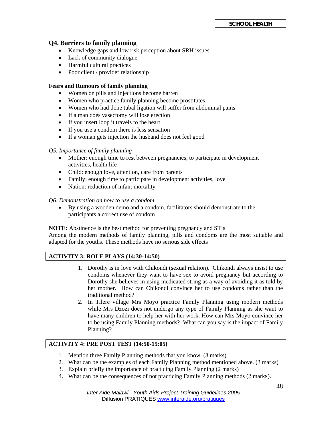#### **Q4. Barriers to family planning**

- Knowledge gaps and low risk perception about SRH issues
- Lack of community dialogue
- Harmful cultural practices
- Poor client / provider relationship

#### **Fears and Rumours of family planning**

- Women on pills and injections become barren
- Women who practice family planning become prostitutes
- Women who had done tubal ligation will suffer from abdominal pains
- If a man does vasectomy will lose erection
- If you insert loop it travels to the heart
- If you use a condom there is less sensation
- If a woman gets injection the husband does not feel good

#### *Q5. Importance of family planning*

- Mother: enough time to rest between pregnancies, to participate in development activities, health life
- Child: enough love, attention, care from parents
- Family: enough time to participate in development activities, love
- Nation: reduction of infant mortality

#### *Q6. Demonstration on how to use a condom*

• By using a wooden demo and a condom, facilitators should demonstrate to the participants a correct use of condom

**NOTE:** Abstinence is the best method for preventing pregnancy and STIs

Among the modern methods of family planning, pills and condoms are the most suitable and adapted for the youths. These methods have no serious side effects

#### **ACTIVITY 3: ROLE PLAYS (14:30-14:50)**

- 1. Dorothy is in love with Chikondi (sexual relation). Chikondi always insist to use condoms whenever they want to have sex to avoid pregnancy but according to Dorothy she believes in using medicated string as a way of avoiding it as told by her mother. How can Chikondi convince her to use condoms rather than the traditional method?
- 2. In Tilere village Mrs Moyo practice Family Planning using modern methods while Mrs Dzozi does not undergo any type of Family Planning as she want to have many children to help her with her work. How can Mrs Moyo convince her to be using Family Planning methods? What can you say is the impact of Family Planning?

#### **ACTIVITY 4: PRE POST TEST (14:50-15:05)**

- 1. Mention three Family Planning methods that you know. (3 marks)
- 2. What can be the examples of each Family Planning method mentioned above. (3 marks)
- 3. Explain briefly the importance of practicing Family Planning (2 marks)
- 4. What can be the consequences of not practicing Family Planning methods (2 marks).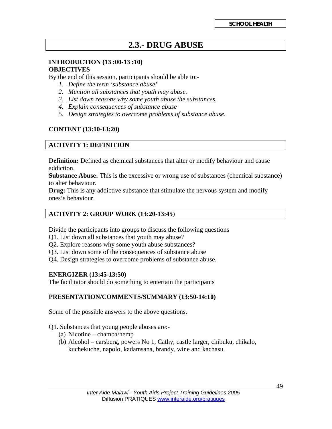## **2.3.- DRUG ABUSE**

#### **INTRODUCTION (13 :00-13 :10) OBJECTIVES**

By the end of this session, participants should be able to:-

- *1. Define the term 'substance abuse'*
- *2. Mention all substances that youth may abuse.*
- *3. List down reasons why some youth abuse the substances.*
- *4. Explain consequences of substance abuse*
- 5. *Design strategies to overcome problems of substance abuse.*

#### **CONTENT (13:10-13:20)**

#### **ACTIVITY 1: DEFINITION**

**Definition:** Defined as chemical substances that alter or modify behaviour and cause addiction.

**Substance Abuse:** This is the excessive or wrong use of substances (chemical substance) to alter behaviour.

**Drug:** This is any addictive substance that stimulate the nervous system and modify ones's behaviour.

#### **ACTIVITY 2: GROUP WORK (13:20-13:45**)

Divide the participants into groups to discuss the following questions

- Q1. List down all substances that youth may abuse?
- Q2. Explore reasons why some youth abuse substances?
- Q3. List down some of the consequences of substance abuse
- Q4. Design strategies to overcome problems of substance abuse.

#### **ENERGIZER (13:45-13:50)**

The facilitator should do something to entertain the participants

#### **PRESENTATION/COMMENTS/SUMMARY (13:50-14:10)**

Some of the possible answers to the above questions.

#### Q1. Substances that young people abuses are:-

- (a) Nicotine chamba/hemp
- (b) Alcohol carsberg, powers No 1, Cathy, castle larger, chibuku, chikalo, kuchekuche, napolo, kadamsana, brandy, wine and kachasu.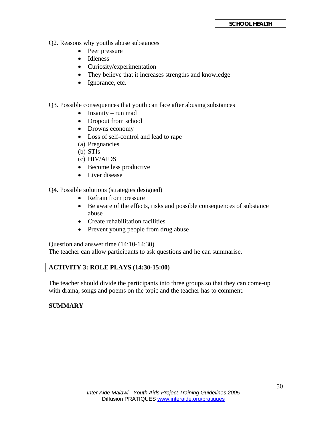- Q2. Reasons why youths abuse substances
	- Peer pressure
	- Idleness
	- Curiosity/experimentation
	- They believe that it increases strengths and knowledge
	- Ignorance, etc.
- Q3. Possible consequences that youth can face after abusing substances
	- Insanity run mad
	- Dropout from school
	- Drowns economy
	- Loss of self-control and lead to rape
	- (a) Pregnancies
	- (b) STIs
	- (c) HIV/AIDS
	- Become less productive
	- Liver disease

Q4. Possible solutions (strategies designed)

- Refrain from pressure
- Be aware of the effects, risks and possible consequences of substance abuse
- Create rehabilitation facilities
- Prevent young people from drug abuse

Question and answer time (14:10-14:30)

The teacher can allow participants to ask questions and he can summarise.

#### **ACTIVITY 3: ROLE PLAYS (14:30-15:00)**

The teacher should divide the participants into three groups so that they can come-up with drama, songs and poems on the topic and the teacher has to comment.

#### **SUMMARY**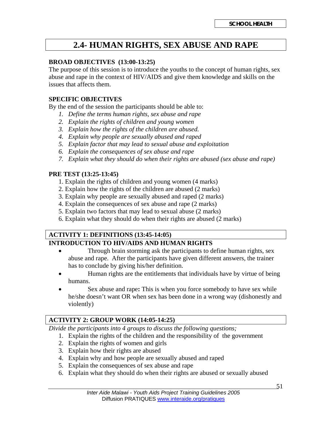## **2.4- HUMAN RIGHTS, SEX ABUSE AND RAPE**

#### **BROAD OBJECTIVES (13:00-13:25)**

The purpose of this session is to introduce the youths to the concept of human rights, sex abuse and rape in the context of HIV/AIDS and give them knowledge and skills on the issues that affects them.

#### **SPECIFIC OBJECTIVES**

By the end of the session the participants should be able to:

- *1. Define the terms human rights, sex abuse and rape*
- *2. Explain the rights of children and young women*
- *3. Explain how the rights of the children are abused.*
- *4. Explain why people are sexually abused and raped*
- *5. Explain factor that may lead to sexual abuse and exploitation*
- *6. Explain the consequences of sex abuse and rape*
- *7. Explain what they should do when their rights are abused (sex abuse and rape)*

#### **PRE TEST (13:25-13:45)**

- 1. Explain the rights of children and young women (4 marks)
- 2. Explain how the rights of the children are abused (2 marks)
- 3. Explain why people are sexually abused and raped (2 marks)
- 4. Explain the consequences of sex abuse and rape (2 marks)
- 5. Explain two factors that may lead to sexual abuse (2 marks)
- 6. Explain what they should do when their rights are abused (2 marks)

#### **ACTIVITY 1: DEFINITIONS (13:45-14:05) INTRODUCTION TO HIV/AIDS AND HUMAN RIGHTS**

- Through brain storming ask the participants to define human rights, sex abuse and rape. After the participants have given different answers, the trainer has to conclude by giving his/her definition.
- Human rights are the entitlements that individuals have by virtue of being humans.
- Sex abuse and rape**:** This is when you force somebody to have sex while he/she doesn't want OR when sex has been done in a wrong way (dishonestly and violently)

#### **ACTIVITY 2: GROUP WORK (14:05-14:25)**

*Divide the participants into 4 groups to discuss the following questions;* 

- 1. Explain the rights of the children and the responsibility of the government
- 2. Explain the rights of women and girls
- 3. Explain how their rights are abused
- 4. Explain why and how people are sexually abused and raped
- 5. Explain the consequences of sex abuse and rape
- 6. Explain what they should do when their rights are abused or sexually abused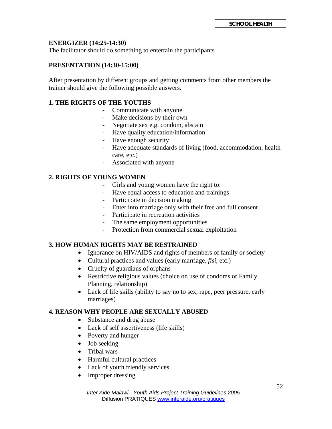#### **ENERGIZER (14:25-14:30)**

The facilitator should do something to entertain the participants

#### **PRESENTATION (14:30-15:00)**

After presentation by different groups and getting comments from other members the trainer should give the following possible answers.

#### **1. THE RIGHTS OF THE YOUTHS**

- Communicate with anyone
- Make decisions by their own
- Negotiate sex e.g. condom, abstain
- Have quality education/information
- Have enough security
- Have adequate standards of living (food, accommodation, health care, etc.)
- Associated with anyone

#### **2. RIGHTS OF YOUNG WOMEN**

- Girls and young women have the right to:
- Have equal access to education and trainings
- Participate in decision making
- Enter into marriage only with their free and full consent
- Participate in recreation activities
- The same employment opportunities
- Protection from commercial sexual exploitation

#### **3. HOW HUMAN RIGHTS MAY BE RESTRAINED**

- Ignorance on HIV/AIDS and rights of members of family or society
- Cultural practices and values (early marriage, *fisi*, etc.)
- Cruelty of guardians of orphans
- Restrictive religious values (choice on use of condoms or Family Planning, relationship)
- Lack of life skills (ability to say no to sex, rape, peer pressure, early marriages)

#### **4. REASON WHY PEOPLE ARE SEXUALLY ABUSED**

- Substance and drug abuse
- Lack of self assertiveness (life skills)
- Poverty and hunger
- Job seeking
- Tribal wars
- Harmful cultural practices
- Lack of youth friendly services
- Improper dressing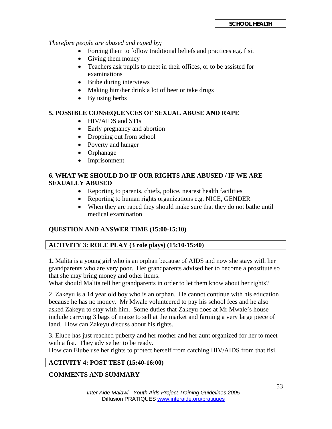*Therefore people are abused and raped by;* 

- Forcing them to follow traditional beliefs and practices e.g. fisi.
- Giving them money
- Teachers ask pupils to meet in their offices, or to be assisted for examinations
- Bribe during interviews
- Making him/her drink a lot of beer or take drugs
- By using herbs

#### **5. POSSIBLE CONSEQUENCES OF SEXUAL ABUSE AND RAPE**

- HIV/AIDS and STIs
- Early pregnancy and abortion
- Dropping out from school
- Poverty and hunger
- Orphanage
- Imprisonment

#### **6. WHAT WE SHOULD DO IF OUR RIGHTS ARE ABUSED / IF WE ARE SEXUALLY ABUSED**

- Reporting to parents, chiefs, police, nearest health facilities
- Reporting to human rights organizations e.g. NICE, GENDER
- When they are raped they should make sure that they do not bathe until medical examination

#### **QUESTION AND ANSWER TIME (15:00-15:10)**

#### **ACTIVITY 3: ROLE PLAY (3 role plays) (15:10-15:40)**

**1.** Malita is a young girl who is an orphan because of AIDS and now she stays with her grandparents who are very poor. Her grandparents advised her to become a prostitute so that she may bring money and other items.

What should Malita tell her grandparents in order to let them know about her rights?

2. Zakeyu is a 14 year old boy who is an orphan. He cannot continue with his education because he has no money. Mr Mwale volunteered to pay his school fees and he also asked Zakeyu to stay with him. Some duties that Zakeyu does at Mr Mwale's house include carrying 3 bags of maize to sell at the market and farming a very large piece of land. How can Zakeyu discuss about his rights.

3. Elube has just reached puberty and her mother and her aunt organized for her to meet with a fisi. They advise her to be ready.

How can Elube use her rights to protect herself from catching HIV/AIDS from that fisi.

#### **ACTIVITY 4: POST TEST (15:40-16:00)**

#### **COMMENTS AND SUMMARY**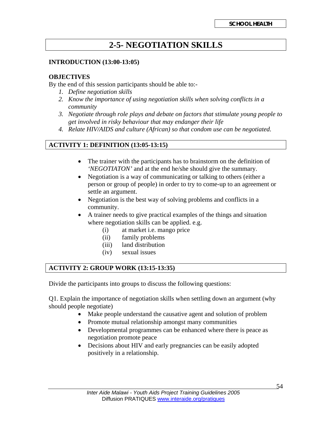## **2-5- NEGOTIATION SKILLS**

#### **INTRODUCTION (13:00-13:05)**

#### **OBJECTIVES**

By the end of this session participants should be able to:-

- *1. Define negotiation skills*
- *2. Know the importance of using negotiation skills when solving conflicts in a community*
- *3. Negotiate through role plays and debate on factors that stimulate young people to get involved in risky behaviour that may endanger their life*
- *4. Relate HIV/AIDS and culture (African) so that condom use can be negotiated.*

#### **ACTIVITY 1: DEFINITION (13:05-13:15)**

- The trainer with the participants has to brainstorm on the definition of *'NEGOTIATON'* and at the end he/she should give the summary.
- Negotiation is a way of communicating or talking to others (either a person or group of people) in order to try to come-up to an agreement or settle an argument.
- Negotiation is the best way of solving problems and conflicts in a community.
- A trainer needs to give practical examples of the things and situation where negotiation skills can be applied. e.g.
	- (i) at market i.e. mango price
	- (ii) family problems
	- (iii) land distribution
	- (iv) sexual issues

#### **ACTIVITY 2: GROUP WORK (13:15-13:35)**

Divide the participants into groups to discuss the following questions:

Q1. Explain the importance of negotiation skills when settling down an argument (why should people negotiate)

- Make people understand the causative agent and solution of problem
- Promote mutual relationship amongst many communities
- Developmental programmes can be enhanced where there is peace as negotiation promote peace
- Decisions about HIV and early pregnancies can be easily adopted positively in a relationship.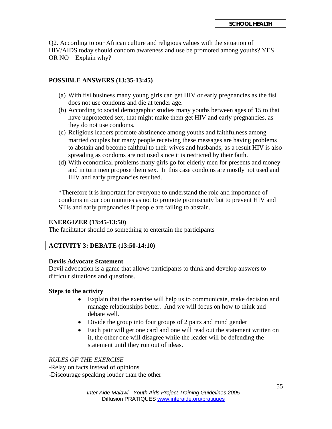Q2. According to our African culture and religious values with the situation of HIV/AIDS today should condom awareness and use be promoted among youths? YES OR NO Explain why?

#### **POSSIBLE ANSWERS (13:35-13:45)**

- (a) With fisi business many young girls can get HIV or early pregnancies as the fisi does not use condoms and die at tender age.
- (b) According to social demographic studies many youths between ages of 15 to that have unprotected sex, that might make them get HIV and early pregnancies, as they do not use condoms.
- (c) Religious leaders promote abstinence among youths and faithfulness among married couples but many people receiving these messages are having problems to abstain and become faithful to their wives and husbands; as a result HIV is also spreading as condoms are not used since it is restricted by their faith.
- (d) With economical problems many girls go for elderly men for presents and money and in turn men propose them sex. In this case condoms are mostly not used and HIV and early pregnancies resulted.

\*Therefore it is important for everyone to understand the role and importance of condoms in our communities as not to promote promiscuity but to prevent HIV and STIs and early pregnancies if people are failing to abstain.

#### **ENERGIZER (13:45-13:50)**

The facilitator should do something to entertain the participants

#### **ACTIVITY 3: DEBATE (13:50-14:10)**

#### **Devils Advocate Statement**

Devil advocation is a game that allows participants to think and develop answers to difficult situations and questions.

#### **Steps to the activity**

- Explain that the exercise will help us to communicate, make decision and manage relationships better. And we will focus on how to think and debate well.
- Divide the group into four groups of 2 pairs and mind gender
- Each pair will get one card and one will read out the statement written on it, the other one will disagree while the leader will be defending the statement until they run out of ideas.

#### *RULES OF THE EXERCISE*

-Relay on facts instead of opinions -Discourage speaking louder than the other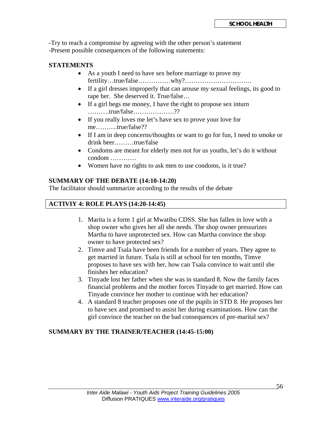-Try to reach a compromise by agreeing with the other person's statement -Present possible consequences of the following statements:

#### **STATEMENTS**

- As a youth I need to have sex before marriage to prove my fertility…true/false……………why?………………………….
- If a girl dresses improperly that can arouse my sexual feelings, its good to rape her. She deserved it. True/false…
- If a girl begs me money, I have the right to propose sex inturn ……….true/false……………….??
- If you really loves me let's have sex to prove your love for me……….true/false??
- If I am in deep concerns/thoughts or want to go for fun, I need to smoke or drink beer………true/false
- Condoms are meant for elderly men not for us youths, let's do it without condom …………
- Women have no rights to ask men to use condoms, is it true?

#### **SUMMARY OF THE DEBATE (14:10-14:20)**

The facilitator should summarize according to the results of the debate

#### **ACTIVIY 4: ROLE PLAYS (14:20-14:45)**

- 1. Marita is a form 1 girl at Mwatibu CDSS. She has fallen in love with a shop owner who gives her all she needs. The shop owner pressurizes Martha to have unprotected sex. How can Martha convince the shop owner to have protected sex?
- 2. Timve and Tsala have been friends for a number of years. They agree to get married in future. Tsala is still at school for ten months, Timve proposes to have sex with her, how can Tsala convince to wait until she finishes her education?
- 3. Tinyade lost her father when she was in standard 8. Now the family faces financial problems and the mother forces Tinyade to get married. How can Tinyade convince her mother to continue with her education?
- 4. A standard 8 teacher proposes one of the pupils in STD 8. He proposes her to have sex and promised to assist her during examinations. How can the girl convince the teacher on the bad consequences of pre-marital sex?

#### **SUMMARY BY THE TRAINER/TEACHER (14:45-15:00)**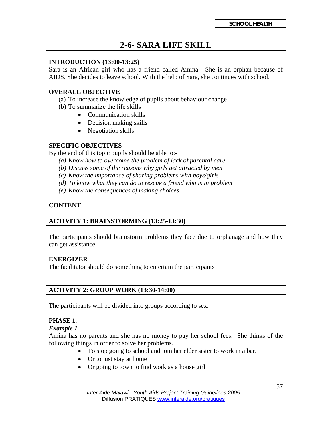## **2-6- SARA LIFE SKILL**

#### **INTRODUCTION (13:00-13:25)**

Sara is an African girl who has a friend called Amina. She is an orphan because of AIDS. She decides to leave school. With the help of Sara, she continues with school.

#### **OVERALL OBJECTIVE**

- (a) To increase the knowledge of pupils about behaviour change
- (b) To summarize the life skills
	- Communication skills
	- Decision making skills
	- Negotiation skills

#### **SPECIFIC OBJECTIVES**

By the end of this topic pupils should be able to:-

- *(a) Know how to overcome the problem of lack of parental care*
- *(b) Discuss some of the reasons why girls get attracted by men*
- *(c) Know the importance of sharing problems with boys/girls*
- *(d) To know what they can do to rescue a friend who is in problem*
- *(e) Know the consequences of making choices*

#### **CONTENT**

#### **ACTIVITY 1: BRAINSTORMING (13:25-13:30)**

The participants should brainstorm problems they face due to orphanage and how they can get assistance.

#### **ENERGIZER**

The facilitator should do something to entertain the participants

#### **ACTIVITY 2: GROUP WORK (13:30-14:00)**

The participants will be divided into groups according to sex.

#### **PHASE 1.**

#### *Example 1*

Amina has no parents and she has no money to pay her school fees. She thinks of the following things in order to solve her problems.

- To stop going to school and join her elder sister to work in a bar.
- Or to just stay at home
- Or going to town to find work as a house girl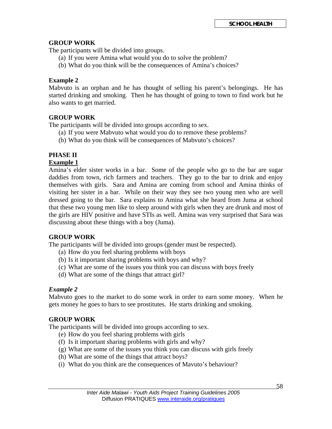#### **GROUP WORK**

The participants will be divided into groups.

- (a) If you were Amina what would you do to solve the problem?
- (b) What do you think will be the consequences of Amina's choices?

#### **Example 2**

Mabvuto is an orphan and he has thought of selling his parent's belongings. He has started drinking and smoking. Then he has thought of going to town to find work but he also wants to get married.

#### **GROUP WORK**

The participants will be divided into groups according to sex.

- (a) If you were Mabvuto what would you do to remove these problems?
- (b) What do you think will be consequences of Mabvuto's choices?

#### **PHASE II**

#### **Example 1**

Amina's elder sister works in a bar. Some of the people who go to the bar are sugar daddies from town, rich farmers and teachers. They go to the bar to drink and enjoy themselves with girls. Sara and Amina are coming from school and Amina thinks of visiting her sister in a bar. While on their way they see two young men who are well dressed going to the bar. Sara explains to Amina what she heard from Juma at school that these two young men like to sleep around with girls when they are drunk and most of the girls are HIV positive and have STIs as well. Amina was very surprised that Sara was discussing about these things with a boy (Juma).

#### **GROUP WORK**

The participants will be divided into groups (gender must be respected).

- (a) How do you feel sharing problems with boys
- (b) Is it important sharing problems with boys and why?
- (c) What are some of the issues you think you can discuss with boys freely
- (d) What are some of the things that attract girl?

#### *Example 2*

Mabvuto goes to the market to do some work in order to earn some money. When he gets money he goes to bars to see prostitutes. He starts drinking and smoking.

#### **GROUP WORK**

The participants will be divided into groups according to sex.

- (e) How do you feel sharing problems with girls
- (f) Is it important sharing problems with girls and why?
- (g) What are some of the issues you think you can discuss with girls freely
- (h) What are some of the things that attract boys?
- (i) What do you think are the consequences of Mavuto's behaviour?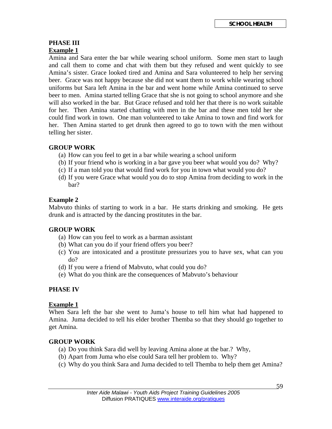#### **PHASE III Example 1**

Amina and Sara enter the bar while wearing school uniform. Some men start to laugh and call them to come and chat with them but they refused and went quickly to see Amina's sister. Grace looked tired and Amina and Sara volunteered to help her serving beer. Grace was not happy because she did not want them to work while wearing school uniforms but Sara left Amina in the bar and went home while Amina continued to serve beer to men. Amina started telling Grace that she is not going to school anymore and she will also worked in the bar. But Grace refused and told her that there is no work suitable for her. Then Amina started chatting with men in the bar and these men told her she could find work in town. One man volunteered to take Amina to town and find work for her. Then Amina started to get drunk then agreed to go to town with the men without telling her sister.

#### **GROUP WORK**

- (a) How can you feel to get in a bar while wearing a school uniform
- (b) If your friend who is working in a bar gave you beer what would you do? Why?
- (c) If a man told you that would find work for you in town what would you do?
- (d) If you were Grace what would you do to stop Amina from deciding to work in the bar?

#### **Example 2**

Mabvuto thinks of starting to work in a bar. He starts drinking and smoking. He gets drunk and is attracted by the dancing prostitutes in the bar.

#### **GROUP WORK**

- (a) How can you feel to work as a barman assistant
- (b) What can you do if your friend offers you beer?
- (c) You are intoxicated and a prostitute pressurizes you to have sex, what can you do?
- (d) If you were a friend of Mabvuto, what could you do?
- (e) What do you think are the consequences of Mabvuto's behaviour

#### **PHASE IV**

#### **Example 1**

When Sara left the bar she went to Juma's house to tell him what had happened to Amina. Juma decided to tell his elder brother Themba so that they should go together to get Amina.

#### **GROUP WORK**

- (a) Do you think Sara did well by leaving Amina alone at the bar.? Why,
- (b) Apart from Juma who else could Sara tell her problem to. Why?
- (c) Why do you think Sara and Juma decided to tell Themba to help them get Amina?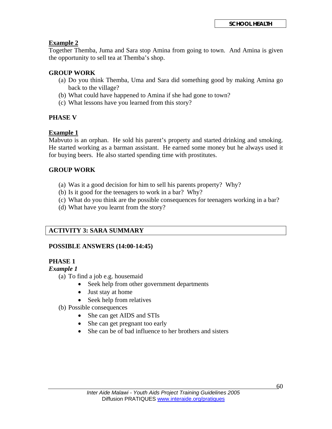#### **Example 2**

Together Themba, Juma and Sara stop Amina from going to town. And Amina is given the opportunity to sell tea at Themba's shop.

#### **GROUP WORK**

- (a) Do you think Themba, Uma and Sara did something good by making Amina go back to the village?
- (b) What could have happened to Amina if she had gone to town?
- (c) What lessons have you learned from this story?

#### **PHASE V**

#### **Example 1**

Mabvuto is an orphan. He sold his parent's property and started drinking and smoking. He started working as a barman assistant. He earned some money but he always used it for buying beers. He also started spending time with prostitutes.

#### **GROUP WORK**

- (a) Was it a good decision for him to sell his parents property? Why?
- (b) Is it good for the teenagers to work in a bar? Why?
- (c) What do you think are the possible consequences for teenagers working in a bar?
- (d) What have you learnt from the story?

#### **ACTIVITY 3: SARA SUMMARY**

#### **POSSIBLE ANSWERS (14:00-14:45)**

#### **PHASE 1**

#### *Example 1*

- (a) To find a job e.g. housemaid
	- Seek help from other government departments
	- Just stay at home
	- Seek help from relatives
- (b) Possible consequences
	- She can get AIDS and STIs
	- She can get pregnant too early
	- She can be of bad influence to her brothers and sisters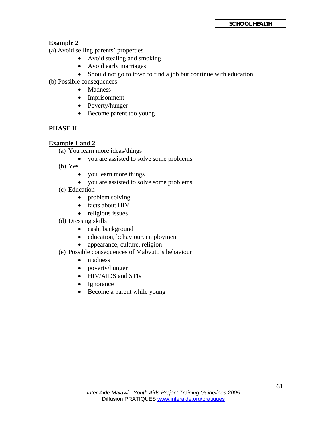#### **Example 2**

(a) Avoid selling parents' properties

- Avoid stealing and smoking
- Avoid early marriages
- Should not go to town to find a job but continue with education
- (b) Possible consequences
	- Madness
	- Imprisonment
	- Poverty/hunger
	- Become parent too young

#### **PHASE II**

#### **Example 1 and 2**

- (a) You learn more ideas/things
	- you are assisted to solve some problems
- (b) Yes
	- you learn more things
	- you are assisted to solve some problems
- (c) Education
	- problem solving
	- facts about HIV
	- religious issues
- (d) Dressing skills
	- cash, background
	- education, behaviour, employment
	- appearance, culture, religion
- (e) Possible consequences of Mabvuto's behaviour
	- madness
	- poverty/hunger
	- HIV/AIDS and STIs
	- Ignorance
	- Become a parent while young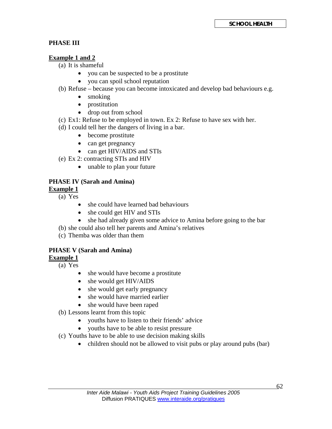#### **PHASE III**

#### **Example 1 and 2**

(a) It is shameful

- you can be suspected to be a prostitute
- you can spoil school reputation
- (b) Refuse because you can become intoxicated and develop bad behaviours e.g.
	- smoking
	- prostitution
	- drop out from school
- (c) Ex1: Refuse to be employed in town. Ex 2: Refuse to have sex with her.
- (d) I could tell her the dangers of living in a bar.
	- become prostitute
	- can get pregnancy
	- can get HIV/AIDS and STIs
- (e) Ex 2: contracting STIs and HIV
	- unable to plan your future

#### **PHASE IV (Sarah and Amina)**

#### **Example 1**

- (a) Yes
	- she could have learned bad behaviours
	- she could get HIV and STIs
	- she had already given some advice to Amina before going to the bar
- (b) she could also tell her parents and Amina's relatives
- (c) Themba was older than them

#### **PHASE V (Sarah and Amina)**

**Example 1**

- (a) Yes
	- she would have become a prostitute
	- she would get HIV/AIDS
	- she would get early pregnancy
	- she would have married earlier
	- she would have been raped
- (b) Lessons learnt from this topic
	- youths have to listen to their friends' advice
		- youths have to be able to resist pressure
- (c) Youths have to be able to use decision making skills
	- children should not be allowed to visit pubs or play around pubs (bar)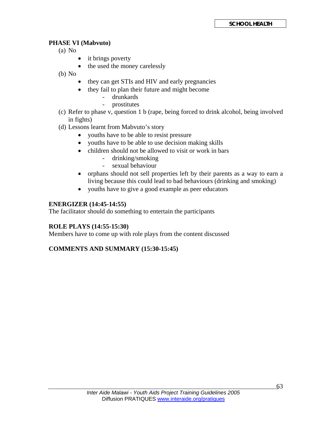#### **PHASE VI (Mabvuto)**

(a) No

- it brings poverty
- the used the money carelessly

(b) No

- they can get STIs and HIV and early pregnancies
- they fail to plan their future and might become
	- drunkards
	- prostitutes
- (c) Refer to phase v, question 1 b (rape, being forced to drink alcohol, being involved in fights)
- (d) Lessons learnt from Mabvuto's story
	- youths have to be able to resist pressure
	- youths have to be able to use decision making skills
	- children should not be allowed to visit or work in bars
		- drinking/smoking
		- sexual behaviour
	- orphans should not sell properties left by their parents as a way to earn a living because this could lead to bad behaviours (drinking and smoking)
	- youths have to give a good example as peer educators

#### **ENERGIZER (14:45-14:55)**

The facilitator should do something to entertain the participants

#### **ROLE PLAYS (14:55-15:30)**

Members have to come up with role plays from the content discussed

#### **COMMENTS AND SUMMARY (15:30-15:45)**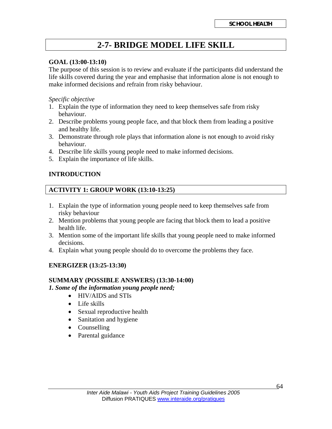## **2-7- BRIDGE MODEL LIFE SKILL**

#### **GOAL (13:00-13:10)**

The purpose of this session is to review and evaluate if the participants did understand the life skills covered during the year and emphasise that information alone is not enough to make informed decisions and refrain from risky behaviour.

*Specific objective* 

- 1. Explain the type of information they need to keep themselves safe from risky behaviour.
- 2. Describe problems young people face, and that block them from leading a positive and healthy life.
- 3. Demonstrate through role plays that information alone is not enough to avoid risky behaviour.
- 4. Describe life skills young people need to make informed decisions.
- 5. Explain the importance of life skills.

#### **INTRODUCTION**

#### **ACTIVITY 1: GROUP WORK (13:10-13:25)**

- 1. Explain the type of information young people need to keep themselves safe from risky behaviour
- 2. Mention problems that young people are facing that block them to lead a positive health life.
- 3. Mention some of the important life skills that young people need to make informed decisions.
- 4. Explain what young people should do to overcome the problems they face.

#### **ENERGIZER (13:25-13:30)**

#### **SUMMARY (POSSIBLE ANSWERS) (13:30-14:00)**

*1. Some of the information young people need;* 

- HIV/AIDS and STIs
- Life skills
- Sexual reproductive health
- Sanitation and hygiene
- Counselling
- Parental guidance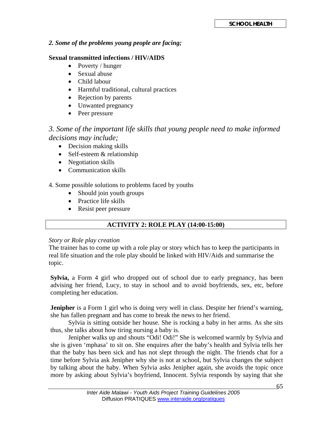#### *2. Some of the problems young people are facing;*

#### **Sexual transmitted infections / HIV/AIDS**

- Poverty / hunger
- Sexual abuse
- Child labour
- Harmful traditional, cultural practices
- Rejection by parents
- Unwanted pregnancy
- Peer pressure

#### *3. Some of the important life skills that young people need to make informed decisions may include;*

- Decision making skills
- Self-esteem & relationship
- Negotiation skills
- Communication skills

4. Some possible solutions to problems faced by youths

- Should join youth groups
- Practice life skills
- Resist peer pressure

#### **ACTIVITY 2: ROLE PLAY (14:00-15:00)**

#### *Story or Role play creation*

The trainer has to come up with a role play or story which has to keep the participants in real life situation and the role play should be linked with HIV/Aids and summarise the topic.

**Sylvia,** a Form 4 girl who dropped out of school due to early pregnancy, has been advising her friend, Lucy, to stay in school and to avoid boyfriends, sex, etc, before completing her education.

**Jenipher** is a Form 1 girl who is doing very well in class. Despite her friend's warning, she has fallen pregnant and has come to break the news to her friend.

 Sylvia is sitting outside her house. She is rocking a baby in her arms. As she sits thus, she talks about how tiring nursing a baby is.

 Jenipher walks up and shouts "Odi! Odi!" She is welcomed warmly by Sylvia and she is given 'mphasa' to sit on. She enquires after the baby's health and Sylvia tells her that the baby has been sick and has not slept through the night. The friends chat for a time before Sylvia ask Jenipher why she is not at school, but Sylvia changes the subject by talking about the baby. When Sylvia asks Jenipher again, she avoids the topic once more by asking about Sylvia's boyfriend, Innocent. Sylvia responds by saying that she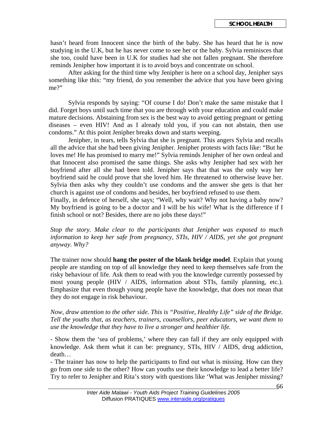hasn't heard from Innocent since the birth of the baby. She has heard that he is now studying in the U.K, but he has never come to see her or the baby. Sylvia reminisces that she too, could have been in U.K for studies had she not fallen pregnant. She therefore reminds Jenipher how important it is to avoid boys and concentrate on school.

After asking for the third time why Jenipher is here on a school day, Jenipher says something like this: "my friend, do you remember the advice that you have been giving me?"

Sylvia responds by saying: "Of course I do! Don't make the same mistake that I did. Forget boys until such time that you are through with your education and could make mature decisions. Abstaining from sex is the best way to avoid getting pregnant or getting diseases – even HIV! And as I already told you, if you can not abstain, then use condoms." At this point Jenipher breaks down and starts weeping.

 Jenipher, in tears, tells Sylvia that she is pregnant. This angers Sylvia and recalls all the advice that she had been giving Jenipher. Jenipher protests with facts like: "But he loves me! He has promised to marry me!" Sylvia reminds Jenipher of her own ordeal and that Innocent also promised the same things. She asks why Jenipher had sex with her boyfriend after all she had been told. Jenipher says that that was the only way her boyfriend said he could prove that she loved him. He threatened to otherwise leave her. Sylvia then asks why they couldn't use condoms and the answer she gets is that her church is against use of condoms and besides, her boyfriend refused to use them.

Finally, in defence of herself, she says; "Well, why wait? Why not having a baby now? My boyfriend is going to be a doctor and I will be his wife! What is the difference if I finish school or not? Besides, there are no jobs these days!"

*Stop the story. Make clear to the participants that Jenipher was exposed to much information to keep her safe from pregnancy, STIs, HIV / AIDS, yet she got pregnant anyway. Why?* 

The trainer now should **hang the poster of the blank bridge model**. Explain that young people are standing on top of all knowledge they need to keep themselves safe from the risky behaviour of life. Ask them to read with you the knowledge currently possessed by most young people (HIV / AIDS, information about STIs, family planning, etc.). Emphasize that even though young people have the knowledge, that does not mean that they do not engage in risk behaviour.

*Now, draw attention to the other side. This is "Positive, Healthy Life" side of the Bridge. Tell the youths that, as teachers, trainers, counsellors, peer educators, we want them to use the knowledge that they have to live a stronger and healthier life.* 

- Show them the 'sea of problems,' where they can fall if they are only equipped with knowledge. Ask them what it can be: pregnancy, STIs, HIV / AIDS, drug addiction, death…

- The trainer has now to help the participants to find out what is missing. How can they go from one side to the other? How can youths use their knowledge to lead a better life? Try to refer to Jenipher and Rita's story with questions like 'What was Jenipher missing?